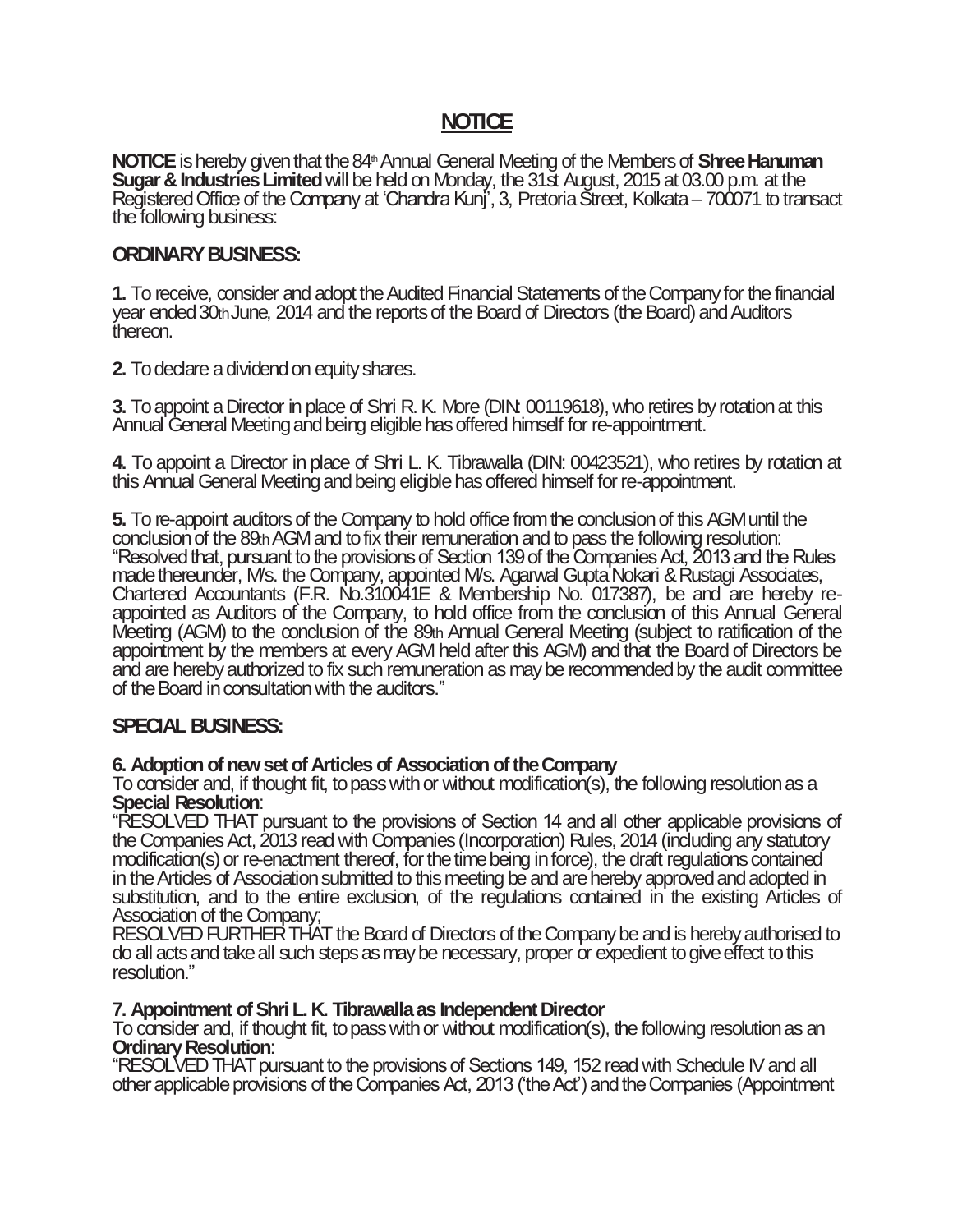# **NOTICE**

**NOTICE** is hereby given that the 84<sup>th</sup> Annual General Meeting of the Members of **Shree Hanuman Sugar & Industries Limited** will be held on Monday, the 31st August, 2015 at 03.00 p.m. at the Registered Office of the Company at 'Chandra Kunj', 3, Pretoria Street, Kolkata – 700071 to transact the following business:

## **ORDINARY BUSINESS:**

**1.** To receive, consider and adopt the Audited Financial Statements of the Company for the financial year ended 30th June, 2014 and the reports of the Board of Directors (the Board) and Auditors thereon.

**2.** To declare a dividend on equity shares.

**3.** To appoint a Director in place of Shri R. K. More (DIN: 00119618), who retires by rotation at this Annual General Meeting and being eligible has offered himself for re-appointment.

**4.** To appoint a Director in place of Shri L. K. Tibrawalla (DIN: 00423521), who retires by rotation at this Annual General Meeting and being eligible has offered himself for re-appointment.

**5.** To re-appoint auditors of the Company to hold office from the conclusion of this AGM until the conclusion of the 89th AGM and to fix their remuneration and to pass the following resolution: "Resolved that, pursuant to the provisions of Section 139 of the Companies Act, 2013 and the Rules made thereunder, M/s. the Company, appointed M/s. Agarwal Gupta Nokari & Rustagi Associates, Chartered Accountants (F.R. No.310041E & Membership No. 017387), be and are hereby reappointed as Auditors of the Company, to hold office from the conclusion of this Annual General Meeting (AGM) to the conclusion of the 89th Annual General Meeting (subject to ratification of the appointment by the members at every AGM held after this AGM) and that the Board of Directors be and are hereby authorized to fix such remuneration as may be recommended by the audit committee of the Board in consultation with the auditors."

## **SPECIAL BUSINESS:**

## **6. Adoption of new set of Articles of Association of the Company**

To consider and, if thought fit, to pass with or without modification(s), the following resolution as a **Special Resolution**:

"RESOLVED THAT pursuant to the provisions of Section 14 and all other applicable provisions of the Companies Act, 2013 read with Companies (Incorporation) Rules, 2014 (including any statutory modification(s) or re-enactment thereof, for the time being in force), the draft regulations contained in the Articles of Association submitted to this meeting be and are hereby approved and adopted in substitution, and to the entire exclusion, of the regulations contained in the existing Articles of Association of the Company;

RESOLVED FURTHER THAT the Board of Directors of the Company be and is hereby authorised to do all acts and take all such steps as may be necessary, proper or expedient to give effect to this resolution."

## **7. Appointment of Shri L. K. Tibrawalla as Independent Director**

To consider and, if thought fit, to pass with or without modification(s), the following resolution as an **Ordinary Resolution**:

"RESOLVED THAT pursuant to the provisions of Sections 149, 152 read with Schedule IV and all other applicable provisions of the Companies Act, 2013 ('the Act') and the Companies (Appointment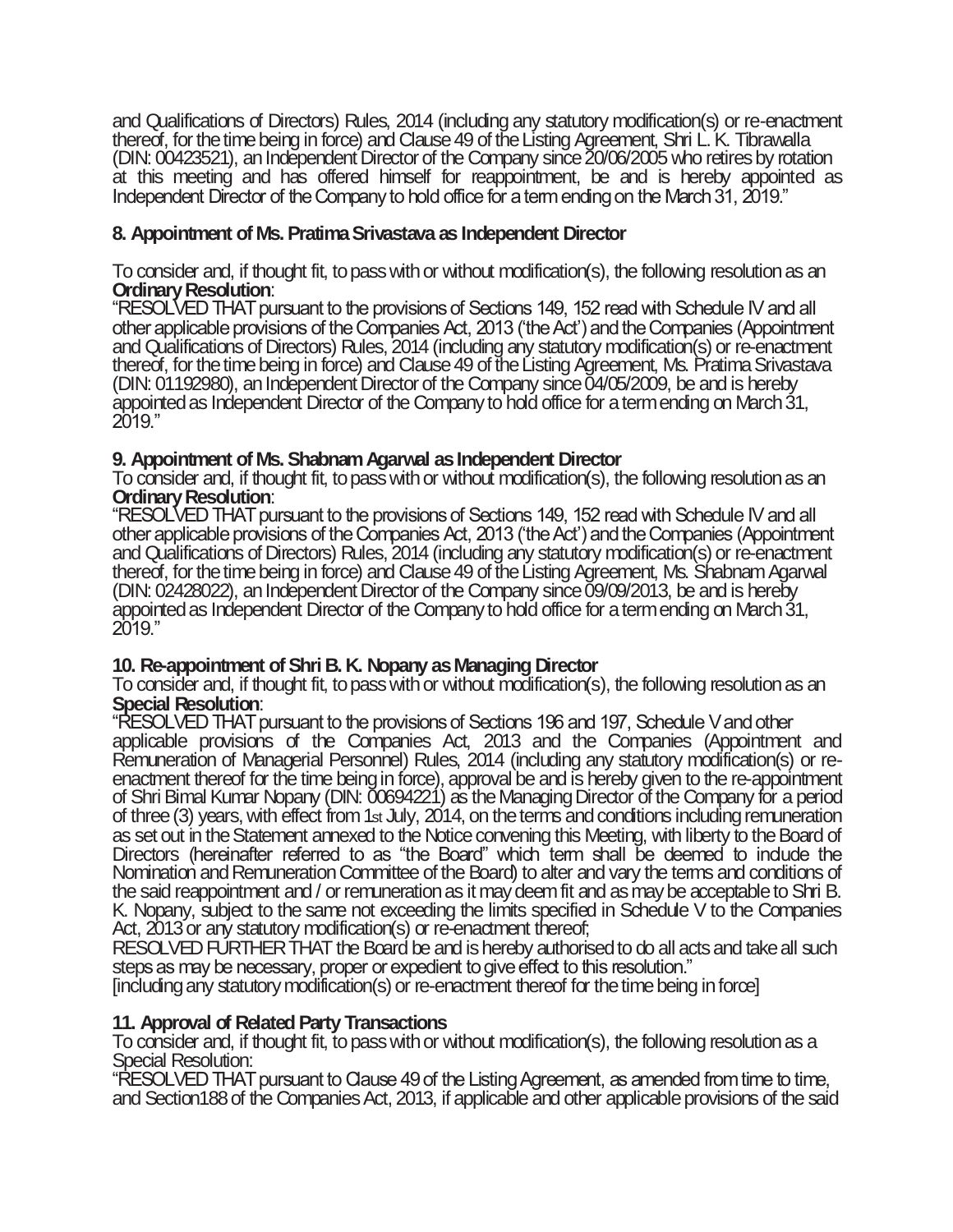and Qualifications of Directors) Rules, 2014 (including any statutory modification(s) or re-enactment thereof, for the time being in force) and Clause 49 of the Listing Agreement, Shri L. K. Tibrawalla (DIN: 00423521), an Independent Director of the Company since 20/06/2005 who retires by rotation at this meeting and has offered himself for reappointment, be and is hereby appointed as Independent Director of the Company to hold office for a term ending on the March 31, 2019."

## **8. Appointment of Ms. Pratima Srivastava as Independent Director**

To consider and, if thought fit, to pass with or without modification(s), the following resolution as an **Ordinary Resolution**:

"RESOLVED THAT pursuant to the provisions of Sections 149, 152 read with Schedule IV and all other applicable provisions of the Companies Act, 2013 ('the Act') and the Companies (Appointment and Qualifications of Directors) Rules, 2014 (including any statutory modification(s) or re-enactment thereof, for the time being in force) and Clause 49 of the Listing Agreement, Ms. Pratima Srivastava (DIN: 01192980), an Independent Director of the Company since 04/05/2009, be and is hereby appointed as Independent Director of the Company to hold office for a term ending on March 31, 2019."

## **9. Appointment of Ms. Shabnam Agarwal as Independent Director**

To consider and, if thought fit, to pass with or without modification(s), the following resolution as an **Ordinary Resolution**:

"RESOLVED THAT pursuant to the provisions of Sections 149, 152 read with Schedule IV and all other applicable provisions of the Companies Act, 2013 ('the Act') and the Companies (Appointment and Qualifications of Directors) Rules, 2014 (including any statutory modification(s) or re-enactment thereof, for the time being in force) and Clause 49 of the Listing Agreement, Ms. Shabnam Agarwal (DIN: 02428022), an Independent Director of the Company since 09/09/2013, be and is hereby appointed as Independent Director of the Company to hold office for a term ending on March 31, 2019."

## **10. Re-appointment of Shri B. K. Nopany as Managing Director**

To consider and, if thought fit, to pass with or without modification(s), the following resolution as an **Special Resolution**:

"RESOLVED THAT pursuant to the provisions of Sections 196 and 197, Schedule V and other applicable provisions of the Companies Act, 2013 and the Companies (Appointment and Remuneration of Managerial Personnel) Rules, 2014 (including any statutory modification(s) or reenactment thereof for the time being in force), approval be and is hereby given to the re-appointment of Shri Bimal Kumar Nopany (DIN: 00694221) as the Managing Director of the Company for a period of three (3) years, with effect from 1st July, 2014, on the terms and conditions including remuneration as set out in the Statement annexed to the Notice convening this Meeting, with liberty to the Board of Directors (hereinafter referred to as "the Board" which term shall be deemed to indude the Nomination and Remuneration Committee of the Board) to alter and vary the terms and conditions of the said reappointment and / or remuneration as it may deem fit and as may be acceptable to Shri B. K. Nopany, subject to the same not exceeding the limits specified in Schedule V to the Companies Act, 2013 or any statutory modification(s) or re-enactment thereof;

RESOLVED FURTHER THAT the Board be and is hereby authorised to do all acts and take all such steps as may be necessary, proper or expedient to give effect to this resolution."

[including any statutory modification(s) or re-enactment thereof for the time being in force]

## **11. Approval of Related Party Transactions**

To consider and, if thought fit, to pass with or without modification(s), the following resolution as a Special Resolution:

"RESOLVED THAT pursuant to Clause 49 of the Listing Agreement, as amended from time to time, and Section188 of the Companies Act, 2013, if applicable and other applicable provisions of the said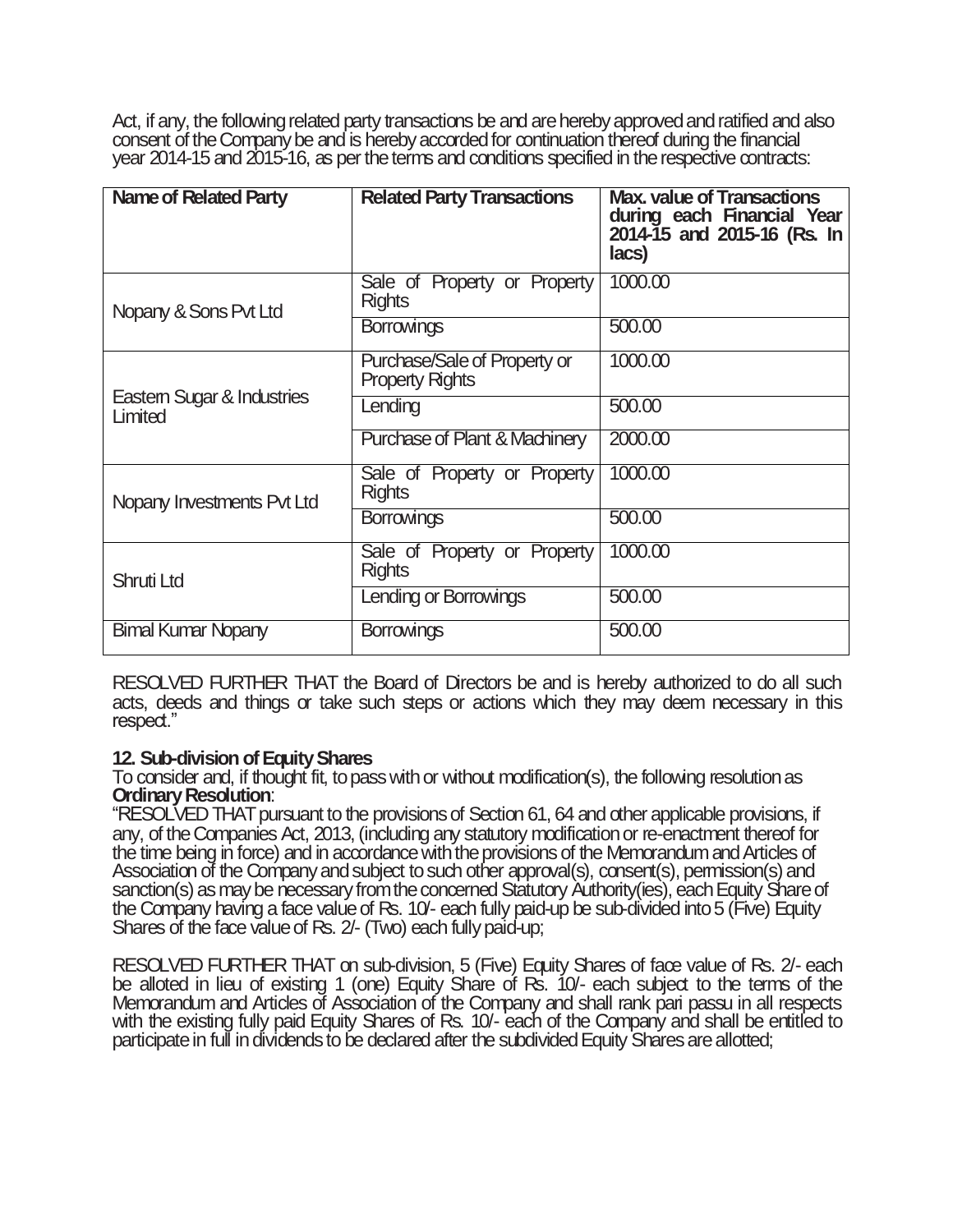Act, if any, the following related party transactions be and are hereby approved and ratified and also consent of the Company be and is hereby accorded for continuation thereof during the financial year 2014-15 and 2015-16, as perthe terms and conditions specified in the respective contracts:

| Name of Related Party                | <b>Related Party Transactions</b>                      | <b>Max. value of Transactions</b><br>during each Financial Year<br>2014-15 and 2015-16 (Rs. In<br>lacs) |
|--------------------------------------|--------------------------------------------------------|---------------------------------------------------------------------------------------------------------|
| Nopany & Sons Pvt Ltd                | Sale of Property or Property<br><b>Rights</b>          | 1000.00                                                                                                 |
|                                      | <b>Borrowings</b>                                      | 500,00                                                                                                  |
|                                      | Purchase/Sale of Property or<br><b>Property Rights</b> | 1000.00                                                                                                 |
| Eastem Sugar & Industries<br>Limited | Lending                                                | 500,00                                                                                                  |
|                                      | Purchase of Plant & Machinery                          | 2000.00                                                                                                 |
| Nopany Investments Pvt Ltd           | Sale of Property or Property<br><b>Rights</b>          | 1000.00                                                                                                 |
|                                      | <b>Borrowings</b>                                      | 500.00                                                                                                  |
| <b>Shruti Ltd</b>                    | Sale of Property or Property<br><b>Rights</b>          | 1000.00                                                                                                 |
|                                      | Lending or Borrowings                                  | 500.00                                                                                                  |
| <b>Bimal Kumar Nopany</b>            | <b>Borrowings</b>                                      | 500.00                                                                                                  |

RESOLVED FURTHER THAT the Board of Directors be and is hereby authorized to do all such acts, deeds and things or take such steps or actions which they may deem necessary in this respect."

## **12. Sub-division of Equity Shares**

To consider and, if thought fit, to pass with or without modification(s), the following resolution as **Ordinary Resolution**:

"RESOLVED THAT pursuant to the provisions of Section 61, 64 and other applicable provisions, if any, of the Companies Act, 2013, (including any statutory modification or re-enactment thereof for the time being in force) and in accordance with the provisions of the Memorandum and Articles of Association of the Company and subject to such other approval(s), consent(s), permission(s) and sanction(s) as may be necessary from the concerned Statutory Authority(ies), each Equity Share of the Company having a face value of Rs. 10/- each fully paid-up be sub-divided into 5 (Five) Equity Shares of the face value of Rs. 2/- (Two) each fully paid-up;

RESOLVED FURTHER THAT on sub-division, 5 (Five) Equity Shares of face value of Rs. 2/- each be alloted in lieu of existing 1 (one) Equity Share of Rs. 10/- each subject to the terms of the Memorandum and Articles of Association of the Company and shall rank pari passu in all respects with the existing fully paid Equity Shares of Rs. 10/- each of the Company and shall be entitled to participate in full individends to be declared after the subdivided Equity Shares are allotted;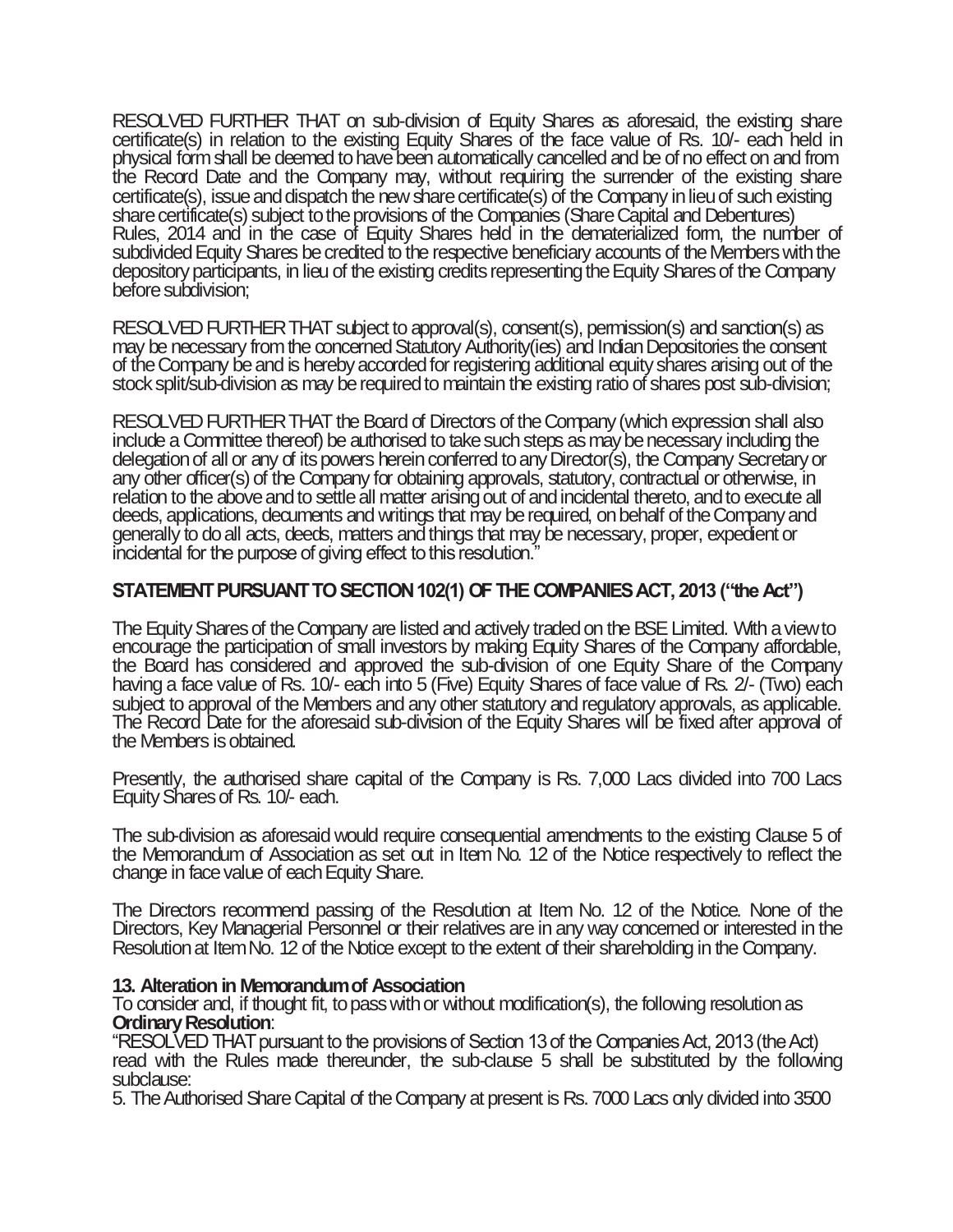RESOLVED FURTHER THAT on sub-division of Equity Shares as aforesaid, the existing share certificate(s) in relation to the existing Equity Shares of the face value of Rs. 10/- each held in physical form shall be deemed to have been automatically cancelled and be of no effect on and from the Record Date and the Company may, without requiring the surrender of the existing share certificate(s), issue and dispatch the new share certificate(s) of the Company in lieu of such existing share certificate(s) subject to the provisions of the Companies (Share Capital and Debentures) Rules, 2014 and in the case of Equity Shares held in the dematerialized form, the number of subdivided Equity Shares be credited to the respective beneficiary accounts of the Members with the depository participants, in lieu of the existing credits representing the Equity Shares of the Company before subdivision;

RESOLVED FURTHER THAT subject to approval(s), consent(s), permission(s) and sanction(s) as may be necessary from the concerned Statutory Authority(ies) and Indian Depositories the consent of the Company be and is hereby accorded for registering additional equity shares arising out of the stock split/sub-division as may be required to maintain the existing ratio of shares post sub-division;

RESOLVED FURTHER THAT the Board of Directors of the Company (which expression shall also include a Committee thereof) be authorised to take suchsteps as may be necessary including the delegation of all or any of its powers herein conferred to any Director(s), the Company Secretary or any other officer(s) of the Company for obtaining approvals, statutory, contractual or otherwise, in relation to the above and to settle all matter arising out of and incidental thereto, and to execute all deeds, applications, decuments and writings that may be required, on behalf of the Company and generally to do all acts, deeds, matters and things that may be necessary, proper, expedient or incidental for the purpose of giving effect to this resolution."

## **STATEMENT PURSUANT TO SECTION 102(1) OF THE COMPANIES ACT, 2013 ("the Act")**

The Equity Shares of the Company are listed and actively traded on the BSE Limited. With a view to encourage the participation of small investors by making Equity Shares of the Company affordable, the Board has considered and approved the sub-division of one Equity Share of the Company having a face value of Rs. 10/- each into 5 (Five) Equity Shares of face value of Rs. 2/- (Two) each subject to approval of the Members and any other statutory and regulatory approvals, as applicable. The Record Date for the aforesaid sub-division of the Equity Shares will be fixed after approval of the Members is obtained.

Presently, the authorised share capital of the Company is Rs. 7,000 Lacs divided into 700 Lacs EquityShares of Rs. 10/- each.

The sub-division as aforesaid would require consequential amendments to the existing Clause 5 of the Memorandum of Association as set out in Item No. 12 of the Notice respectively to reflect the change in face value of each Equity Share.

The Directors recommend passing of the Resolution at Item No. 12 of the Notice. None of the Directors, Key Managerial Personnel or their relatives are in any way concerned or interested in the Resolution at Item No. 12 of the Notice except to the extent of their shareholding in the Company.

## **13. Alteration in Memorandum of Association**

To consider and, if thought fit, to pass with or without modification(s), the following resolution as **Ordinary Resolution**:

"RESOLVED THAT pursuant to the provisions of Section 13 of the Companies Act, 2013 (the Act) read with the Rules made thereunder, the sub-clause 5 shall be substituted by the following subclause:

5. The Authorised Share Capital of the Company at present is Rs. 7000 Lacs only divided into 3500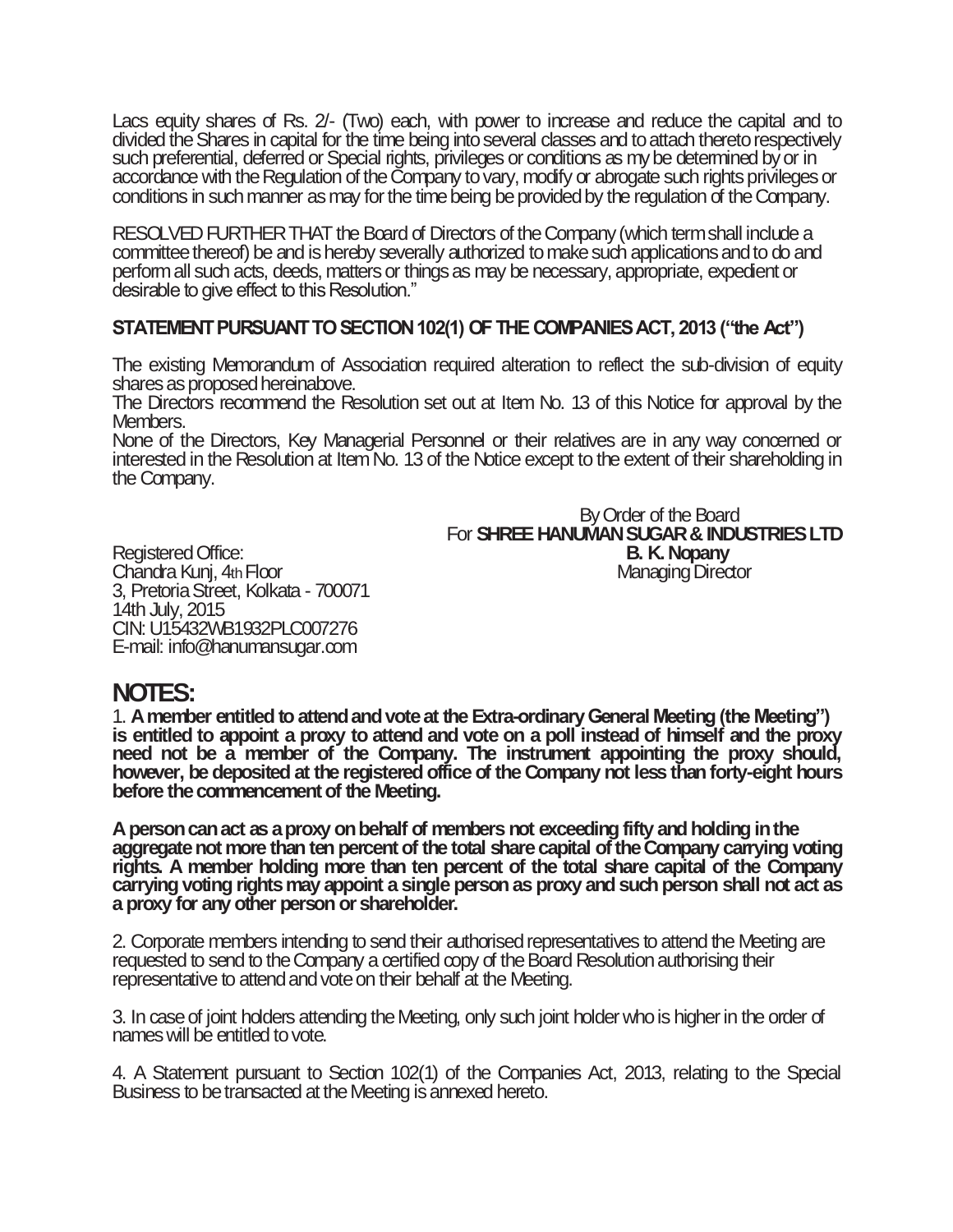Lacs equity shares of Rs. 2/- (Two) each, with power to increase and reduce the capital and to divided the Shares in capital for the time being into several classes and to attach thereto respectively such preferential, deferred or Special rights, privileges or conditions as my be determined by or in accordance with the Regulation of the Company to vary, modify or abrogate such rights privileges or conditions in such manner as may for the time being be provided by the regulation of the Company.

RESOLVED FURTHER THAT the Board of Directors of the Company (which term shall include a committee thereof) be and is hereby severally authorized to make such applications and to do and perform all such acts, deeds, matters or things as may be necessary, appropriate, expedient or desirable to give effect to this Resolution."

## **STATEMENT PURSUANT TO SECTION 102(1) OF THE COMPANIES ACT, 2013 ("the Act")**

The existing Memorandum of Association required alteration to reflect the sub-division of equity shares as proposed hereinabove.

The Directors recommend the Resolution set out at Item No. 13 of this Notice for approval by the Members.

None of the Directors, Key Managerial Personnel or their relatives are in any way concerned or interested in the Resolution at Item No. 13 of the Notice except to the extent of their shareholding in the Company.

 By Order of the Board For **SHREE HANUMAN SUGAR & INDUSTRIES LTD** Registered Office: **B. K. Nopany** Chandra Kunj, 4th Floor **Managing Director** Managing Director

3, Pretoria Street, Kolkata - 700071 14th July, 2015 CIN: U15432WB1932PLC007276 E-mail: info@hanumansugar.com

# **NOTES:**

1. **A member entitled to attend andvote at the Extra-ordinary General Meeting (the Meeting") is entitled to appoint a proxy to attend and vote on a poll instead of himself and the proxy need not be a member of the Company. The instrument appointing the proxy should, however, be deposited at the registered office of the Company not less than forty-eight hours before the commencement of the Meeting.**

**A person can act as a proxy on behalf of members not exceeding fifty and holding in the aggregate not more than ten percent of the total share capital of the Company carrying voting rights. A member holding more than ten percent of the total share capital of the Company carrying voting rights may appoint a single person as proxy and such person shall not act as a proxy for any other person or shareholder.**

2. Corporate members intending to send their authorised representatives to attend the Meeting are requested to send to the Company a certified copy of the Board Resolution authorising their representative to attend and vote on their behalf at the Meeting.

3. In case of joint holders attending the Meeting, only such joint holder who is higher in the order of names will be entitled to vote.

4. A Statement pursuant to Section 102(1) of the Companies Act, 2013, relating to the Special Business to be transacted at the Meeting is annexed hereto.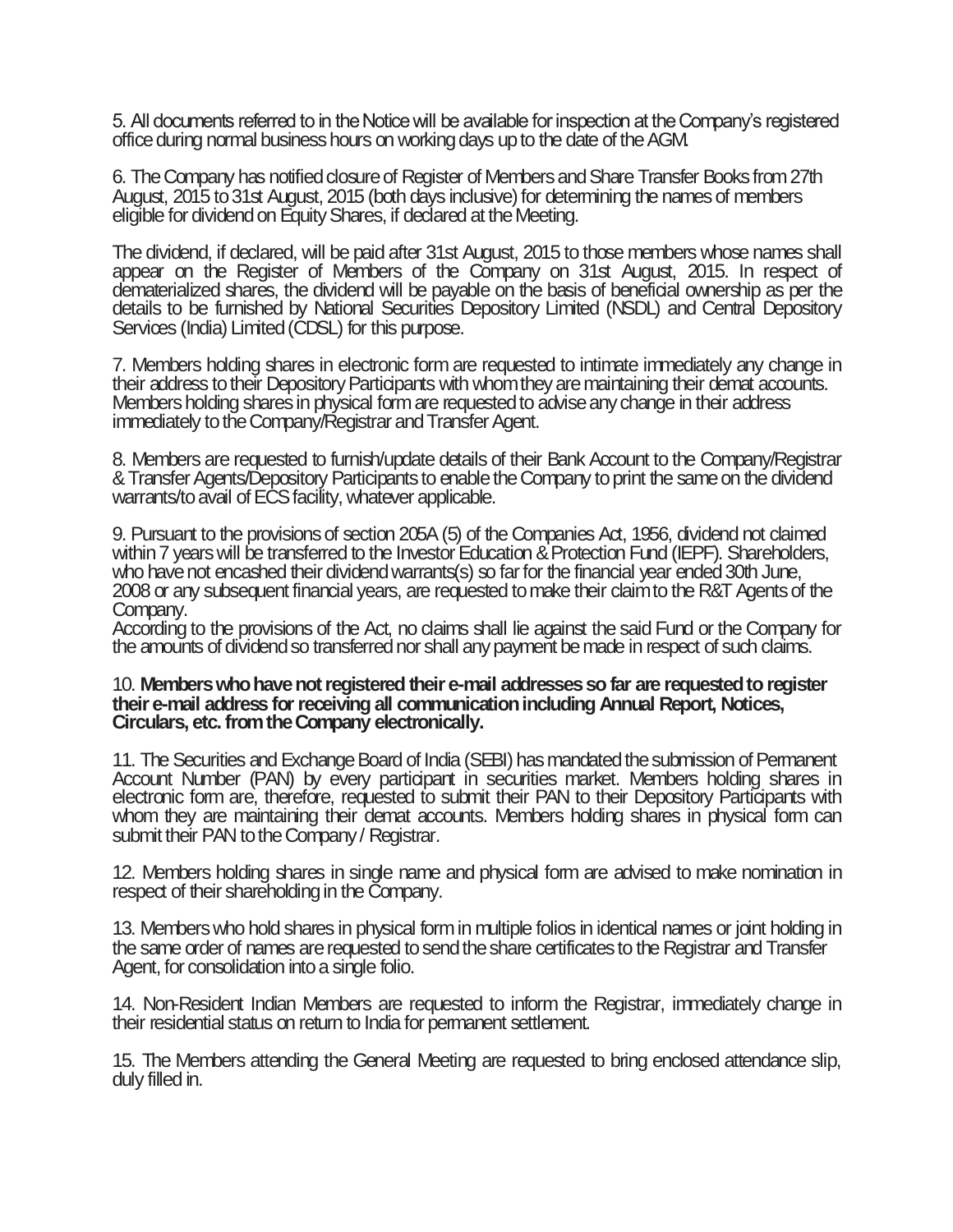5. All documents referred to in the Notice will be available for inspection at the Company's registered office during normal business hours on working days up to the date of the AGM.

6. The Company has notified closure of Register of Members and Share Transfer Books from 27th August, 2015 to 31st August, 2015 (both days inclusive) for determining the names of members eligible for dividend on Equity Shares, if declared at the Meeting.

The dividend, if declared, will be paid after 31st August, 2015 to those members whose names shall appear on the Register of Members of the Company on 31st August, 2015. In respect of dematerialized shares, the dividend will be payable on the basis of beneficial ownership as per the details to be furnished by National Securities Depository Limited (NSDL) and Central Depository Services (India) Limited (CDSL) for this purpose.

7. Members holding shares in electronic form are requested to intimate immediately any change in their address to their Depository Participants with whom they are maintaining their demat accounts. Members holding shares in physical form are requested to advise any change in their address immediately to the Company/Registrar and Transfer Agent.

8. Members are requested to furnish/update details of their Bank Account to the Company/Registrar &Transfer Agents/Depository Participants to enable the Company to print the same on the dividend warrants/to avail of ECS facility, whatever applicable.

9. Pursuant to the provisions of section 205A (5) of the Companies Act, 1956, dividend not claimed within 7 years will be transferred to the Investor Education & Protection Fund (IEPF). Shareholders, who have not encashed their dividend warrants(s) so far for the financial year ended 30th June, 2008 or any subsequent financial years, are requested to make their claim to the R&T Agents of the Company.

According to the provisions of the Act, no claims shall lie against the said Fund or the Company for the amounts of dividend so transferred nor shall any payment be made in respect of such claims.

#### 10. **Members who have not registered their e-mail addresses so far are requested to register their e-mail address for receiving all communication including Annual Report, Notices, Circulars, etc. from the Company electronically.**

11. The Securities and Exchange Board of India (SEBI) has mandated the submission of Permanent Account Number (PAN) by every participant in securities market. Members holding shares in electronic form are, therefore, requested to submit their PAN to their Depository Participants with whom they are maintaining their demat accounts. Members holding shares in physical form can submit their PAN to the Company / Registrar.

12. Members holding shares in single name and physical form are advised to make nomination in respect of their shareholding in the Company.

13. Members who hold shares in physical form in multiple folios in identical names or joint holding in the same order of names are requested to send the share certificates to the Registrar and Transfer Agent, for consolidation into a single folio.

14. Non-Resident Indian Members are requested to inform the Registrar, immediately change in their residential status on return to India for permanent settlement.

15. The Members attending the General Meeting are requested to bring enclosed attendance slip, duly filled in.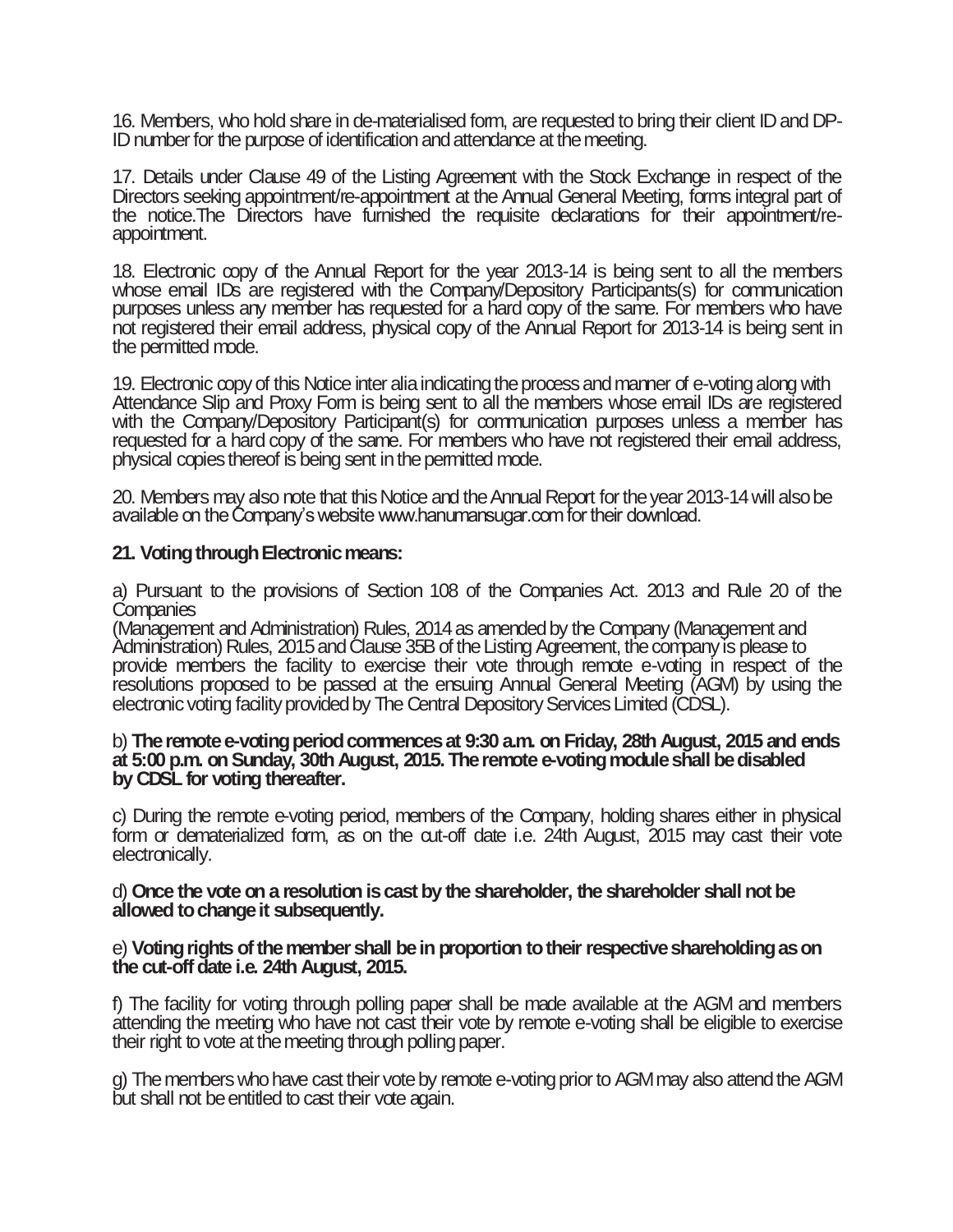16. Members, who hold share in de-materialised form, are requested to bring their client ID and DP-IDnumber for the purpose of identification and attendance at the meeting.

17. Details under Clause 49 of the Listing Agreement with the Stock Exchange in respect of the Directors seeking appointment/re-appointment at the Annual General Meeting, forms integral part of the notice.The Directors have furnished the requisite declarations for their appointment/reappointment.

18. Electronic copy of the Annual Report for the year 2013-14 is being sent to all the members whose email IDs are registered with the Company/Depository Participants(s) for communication purposes unless any member has requested for a hard copy of the same. For members who have not registered their email address, physical copy of the Annual Report for 2013-14 is being sent in the permitted mode.

19. Electronic copy of this Notice inter alia indicating the process and manner of e-voting along with Attendance Slip and Proxy Form is being sent to all the members whose email IDs are registered with the Company/Depository Participant(s) for communication purposes unless a member has requested for a hard copy of the same. For members who have not registered their email address, physical copies thereof is being sent in the permitted mode.

20. Members may also note that this Notice and the Annual Report for the year 2013-14 will also be available on the Company's website www.hanumansugar.com for their download.

## **21. Voting through Electronic means:**

a) Pursuant to the provisions of Section 108 of the Companies Act. 2013 and Rule 20 of the **Companies** 

(Management and Administration) Rules, 2014 as amended by the Company (Management and Administration) Rules, 2015 and Clause 35B of the Listing Agreement, the company is please to provide members the facility to exercise their vote through remote e-voting in respect of the resolutions proposed to be passed at the ensuing Annual General Meeting (AGM) by using the electronic voting facility provided by The Central Depository Services Limited (CDSL).

#### b) **The remote e-voting period commences at 9:30 a.m. on Friday, 28th August, 2015 and ends at 5:00 p.m. on Sunday, 30th August, 2015. The remote e-voting module shall be disabled by CDSL for voting thereafter.**

c) During the remote e-voting period, members of the Company, holding shares either in physical form or dematerialized form, as on the cut-off date i.e. 24th August, 2015 may cast their vote electronically.

#### d) **Once the vote on a resolution is cast by the shareholder, the shareholder shall not be allowed to change it subsequently.**

#### e) **Voting rights of the member shall be in proportion to their respective shareholding as on the cut-off date i.e. 24th August, 2015.**

f) The facility for voting through polling paper shall be made available at the AGM and members attending the meeting who have not cast their vote by remote e-voting shall be eligible to exercise their right to vote at the meeting through polling paper.

g) The members who have cast their vote by remote e-voting prior to AGM may also attend the AGM but shall not be entitled to cast their vote again.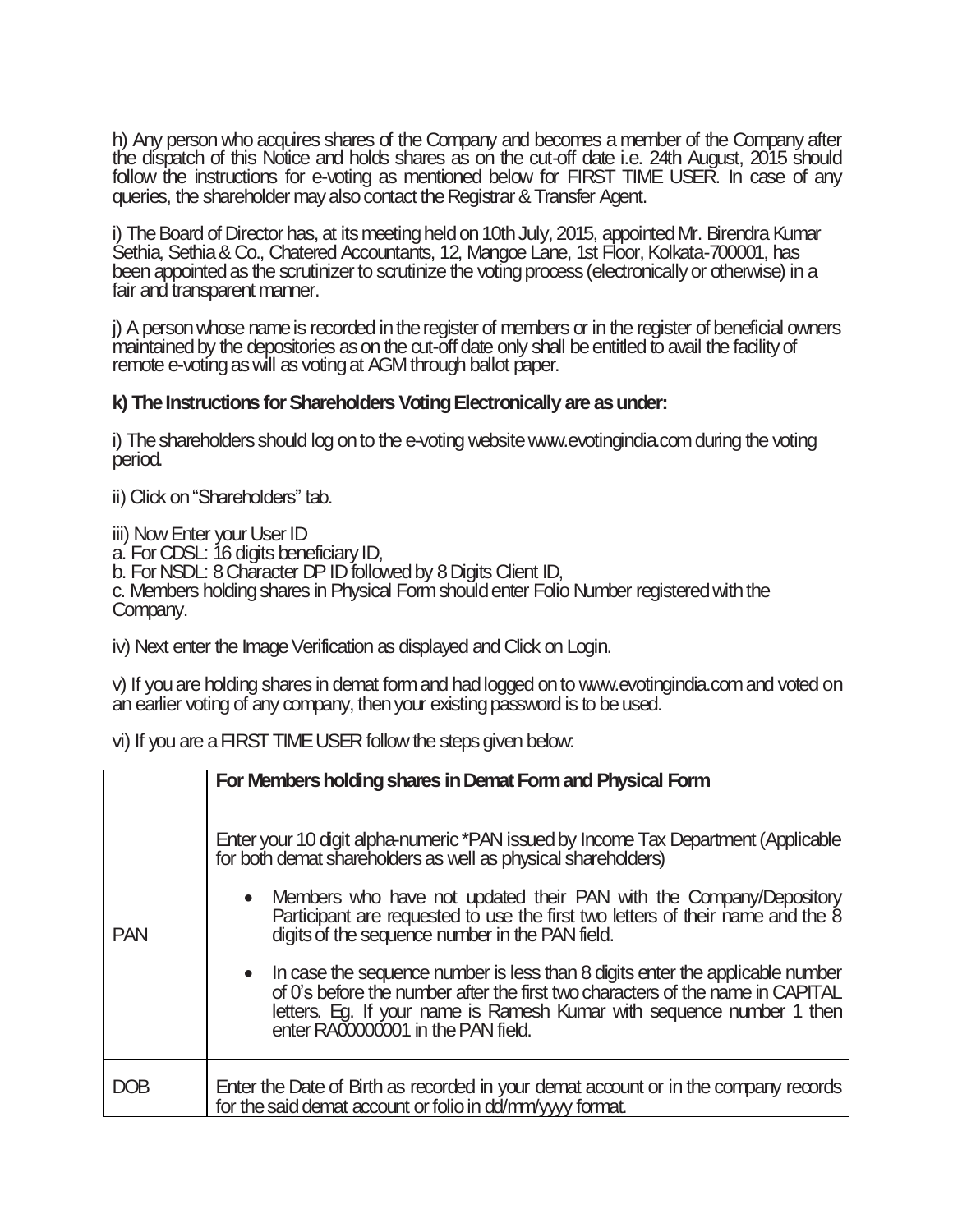h) Any person who acquires shares of the Company and becomes a member of the Company after the dispatch of this Notice and holds shares as on the cut-off date i.e. 24th August, 2015 should follow the instructions for e-voting as mentioned below for FIRST TIME USER. In case of any queries, the shareholder may also contact the Registrar & Transfer Agent.

i) The Board of Director has, at its meeting held on 10th July, 2015, appointed Mr. Birendra Kumar Sethia, Sethia & Co., Chatered Accountants, 12, Mangoe Lane, 1st Floor, Kolkata-700001, has been appointed as the scrutinizer to scrutinize the voting process (electronically or otherwise) in a fair and transparent manner.

j) A person whose name is recorded in the register of members or in the register of beneficial owners maintained by the depositories as on the cut-off date only shall be entitled to avail the facility of remote e-voting as will as voting at AGM through ballot paper.

## **k) The Instructions for Shareholders Voting Electronically are as under:**

i) The shareholders should log on to the e-voting website www.evotingindia.com during the voting period.

ii) Click on "Shareholders" tab.

iii) Now Enter your User ID

a. For CDSL: 16 digits beneficiary ID,

b. For NSDL: 8 Character DP ID followed by 8 Digits Client ID,

c. Members holding shares in Physical Form should enter Folio Number registered with the Company.

iv) Next enter the Image Verification as displayed and Click on Login.

v) If you are holding shares in demat form and had logged on to www.evotingindia.com and voted on an earlier voting of any company, then your existing password is to be used.

vi) If you are a FIRST TIME USER follow the steps given below:

|            | For Members holding shares in Demat Form and Physical Form                                                                                                                                                                                                                                                                                                                  |
|------------|-----------------------------------------------------------------------------------------------------------------------------------------------------------------------------------------------------------------------------------------------------------------------------------------------------------------------------------------------------------------------------|
| <b>PAN</b> | Enter your 10 digit alpha-numeric *PAN issued by Income Tax Department (Applicable<br>for both demat shareholders as well as physical shareholders)<br>Members who have not updated their PAN with the Company/Depository<br>$\bullet$<br>Participant are requested to use the first two letters of their name and the 8<br>digits of the sequence number in the PAN field. |
|            | • In case the sequence number is less than 8 digits enter the applicable number<br>of 0's before the number after the first two characters of the name in CAPITAL<br>letters. Eg. If your name is Ramesh Kumar with sequence number 1 then<br>enter RAO000001 in the PAN field.                                                                                             |
|            | Enter the Date of Birth as recorded in your demat account or in the company records<br>for the said demat account or folio in dd/mm/yyyy format.                                                                                                                                                                                                                            |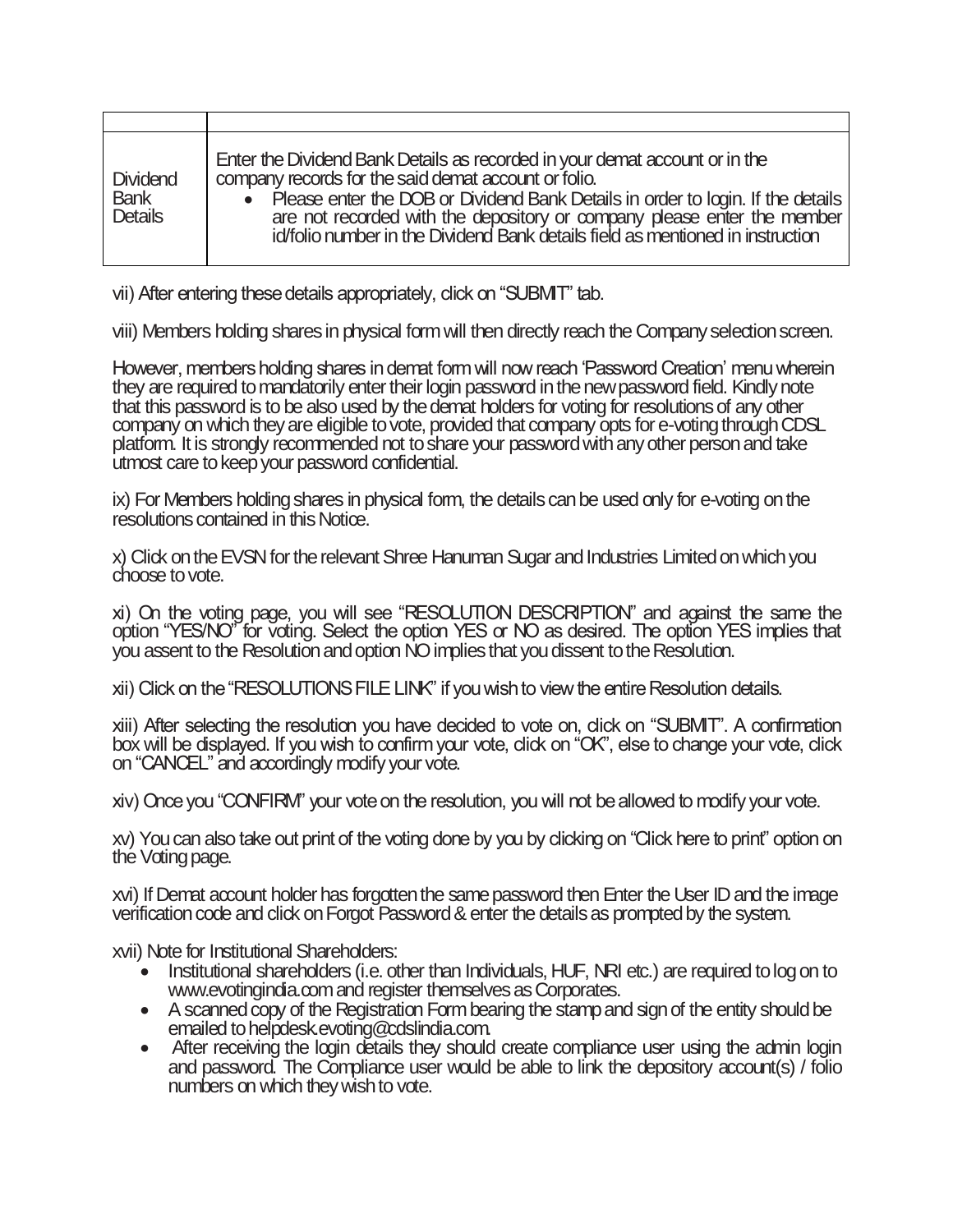| Dividend<br><b>Bank</b><br><b>Details</b> | Enter the Dividend Bank Details as recorded in your demat account or in the<br>company records for the said demat account or folio.<br>• Please enter the DOB or Dividend Bank Details in order to login. If the details<br>are not recorded with the depository or company please enter the member id/folio number in the Dividend Bank details field as mentioned in instruction |
|-------------------------------------------|------------------------------------------------------------------------------------------------------------------------------------------------------------------------------------------------------------------------------------------------------------------------------------------------------------------------------------------------------------------------------------|

vii) After entering these details appropriately, click on "SUBMIT" tab.

viii) Members holding shares in physical form will then directly reach the Company selection screen.

However, members holding shares in demat form will now reach 'Password Creation' menu wherein they are required to mandatorily enter their login password in the new password field. Kindly note that this password is to be also used by the demat holders for voting for resolutions of any other company on which they are eligible to vote, provided that company opts for e-voting through CDSL platform. It is strongly recommended not to share your password with any other person and take utmost care to keep your password confidential.

ix) For Members holding shares in physical form, the details can be used only for e-voting on the resolutions contained in this Notice.

x) Click on the EVSN for the relevant Shree Hanuman Sugar and Industries Limited on which you choose to vote.

xi) On the voting page, you will see "RESOLUTION DESCRIPTION" and against the same the option "YES/NO" for voting. Select the option YES or NO as desired. The option YES implies that you assent to the Resolution and option NO implies that you dissent to the Resolution.

xii) Click on the "RESOLUTIONS FILE LINK" if you wish to view the entire Resolution details.

xiii) After selecting the resolution you have decided to vote on, click on "SUBMIT". A confirmation box will be displayed. If you wish to confirm your vote, click on "OK", else to change your vote, click on "CANCEL" and accordingly modify your vote.

xiv) Once you "CONFIRM" your vote on the resolution, you will not be allowed to modify your vote.

xv) You can also take out print of the voting done by you by clicking on "Click here to print" option on the Voting page.

xvi) If Demat account holder has forgotten the same password then Enter the User ID and the image verification code and click on Forgot Password & enter the details as prompted by the system.

xvii) Note for Institutional Shareholders:

- Institutional shareholders (i.e. other than Individuals, HUF, NRI etc.) are required to log on to www.evotingindia.com and register themselves as Corporates.
- A scanned copy of the Registration Form bearing the stamp and sign of the entity should be emailed to helpdesk.evoting@cdslindia.com.
- After receiving the login details they should create compliance user using the admin login and password. The Compliance user would be able to link the depository account(s) / folio numbers on which they wish to vote.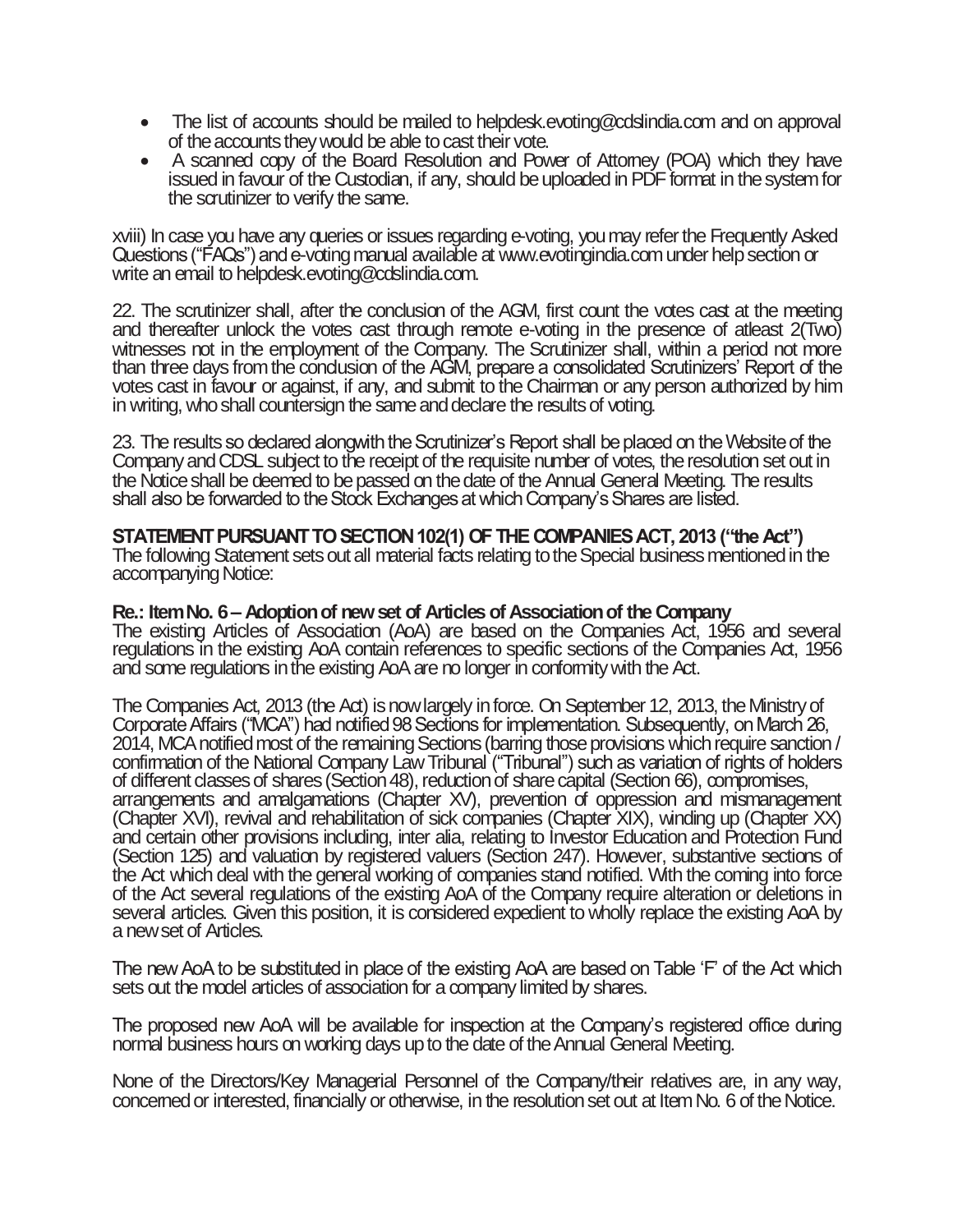- The list of accounts should be mailed to helpdesk.evoting@cdslindia.com and on approval of the accounts they would be able to cast their vote.
- A scanned copy of the Board Resolution and Power of Attorney (POA) which they have issued in favour of the Custodian, if any, should be uploaded in PDF format in the system for the scrutinizer to verify the same.

xviii) In case you have any queries or issues regarding e-voting, you may refer the Frequently Asked Questions ("FAQs") and e-voting manual available at www.evotingindia.com under help section or write an email to helpdesk.evoting@cdslindia.com.

22. The scrutinizer shall, after the conclusion of the AGM, first count the votes cast at the meeting and thereafter unlock the votes cast through remote e-voting in the presence of atleast 2(Two) witnesses not in the employment of the Company. The Scrutinizer shall, within a period not more than three days from the condusion of the AGM, prepare a consolidated Scrutinizers' Report of the votes cast in favour or against, if any, and submit to the Chairman or any person authorized by him in writing, who shall countersign the same and declare the results of voting.

23. The results so declared alongwith the Scrutinizer's Report shall be placed on the Website of the Company and CDSL subject to the receipt of the requisite number of votes, the resolution set out in the Notice shall be deemed to be passed on the date of the Annual General Meeting. The results shall also be forwarded to the Stock Exchanges at which Company's Shares are listed.

## **STATEMENT PURSUANT TO SECTION 102(1) OF THE COMPANIES ACT, 2013 ("the Act")**

The following Statement sets out all material facts relating to the Special business mentioned in the accompanying Notice:

## **Re.: Item No. 6 – Adoption of new set of Articles of Association of the Company**

The existing Articles of Association (AoA) are based on the Companies Act, 1956 and several regulations in the existing AoA contain references to specific sections of the Companies Act, 1956 and some regulations in the existing AoA are no longer in conformity with the Act.

The Companies Act, 2013 (the Act) is now largely in force. On September 12, 2013, the Ministry of Corporate Affairs ("MCA") had notified 98 Sections for implementation. Subsequently, on March 26, 2014, MCA notified most of the remaining Sections (barring those provisions which require sanction / confirmation of the National Company Law Tribunal ("Tribunal") such as variation of rights of holders of different classes of shares (Section 48), reduction of share capital (Section 66), compromises, arrangements and amalgamations (Chapter XV), prevention of oppression and mismanagement (Chapter XVI), revival and rehabilitation of sick companies (Chapter XIX), winding up (Chapter XX) and certain other provisions including, inter alia, relating to Investor Education and Protection Fund (Section 125) and valuation by registered valuers (Section 247). However, substantive sections of the Act which deal with the general working of companies stand notified. With the coming into force of the Act several regulations of the existing AoA of the Company require alteration or deletions in several articles. Given this position, it is considered expedient to wholly replace the existing AoA by a new set of Articles.

The new AoA to be substituted in place of the existing AoA are based on Table 'F' of the Act which sets out the model articles of association for a company limited by shares.

The proposed new AoA will be available for inspection at the Company's registered office during normal business hours on working days up to the date of the Annual General Meeting.

None of the Directors/Key Managerial Personnel of the Company/their relatives are, in any way, concerned or interested, financially or otherwise, in the resolution set out at Item No. 6 of the Notice.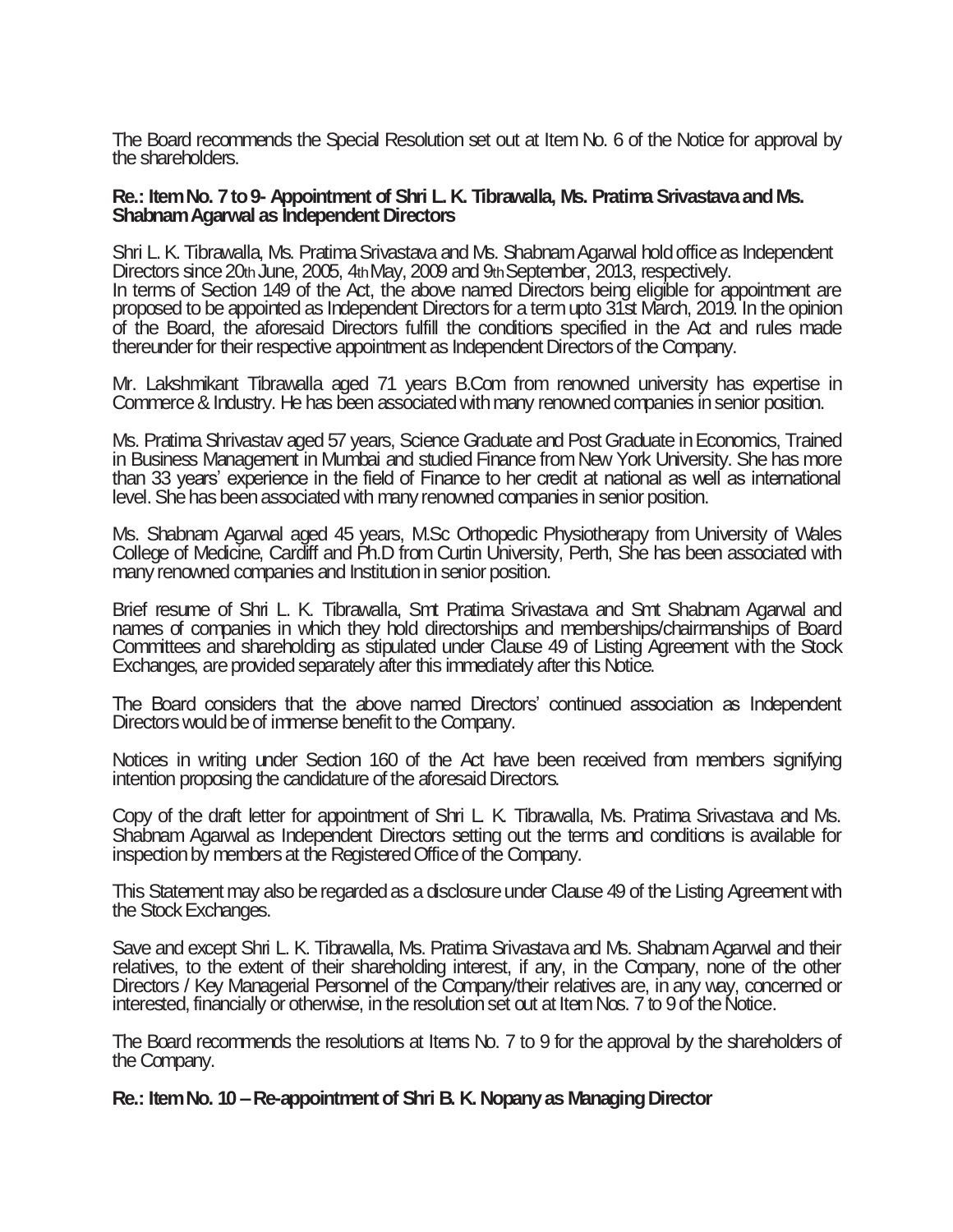The Board recommends the Special Resolution set out at Item No. 6 of the Notice for approval by the shareholders.

#### **Re.: Item No. 7 to 9- Appointment of Shri L. K. Tibrawalla, Ms. Pratima Srivastava and Ms. Shabnam Agarwal as Independent Directors**

Shri L. K. Tibrawalla, Ms. Pratima Srivastava and Ms. Shabnam Agarwal hold office as Independent Directors since 20th June, 2005, 4th May, 2009 and 9th September, 2013, respectively. In terms of Section 149 of the Act, the above named Directors being eligible for appointment are proposed to be appointed as Independent Directors for a term upto 31st March, 2019. In the opinion of the Board, the aforesaid Directors fulfill the conditions specified in the Act and rules made thereunder for theirrespective appointment as Independent Directors of the Company.

Mr. Lakshmikant Tibrawalla aged 71 years B.Com from renowned university has expertise in Commerce& Industry. He has been associated with many renowned companies in senior position.

Ms. Pratima Shrivastav aged 57 years, Science Graduate and Post Graduate in Economics, Trained in Business Management in Mumbai and studied Finance from New York University. She has more than 33 years' experience in the field of Finance to her credit at national as well as international level. She hasbeen associated with many renowned companies in senior position.

Ms. Shabnam Agarwal aged 45 years, M.Sc Orthopedic Physiotherapy from University of Wales College of Medicine, Cardiff and Ph.D from Curtin University, Perth, She has been associated with many renowned companies and Institution in senior position.

Brief resume of Shri L. K. Tibrawalla, Smt Pratima Srivastava and Smt Shabnam Agarwal and names of companies in which they hold directorships and memberships/chairmanships of Board Committees and shareholding as stipulated under Clause 49 of Listing Agreement with the Stock Exchanges, are provided separately after this immediately after this Notice.

The Board considers that the above named Directors' continued association as Independent Directorswould be of immense benefit to the Company.

Notices in writing under Section 160 of the Act have been received from members signifying intention proposing the candidature of the aforesaid Directors.

Copy of the draft letter for appointment of Shri L. K. Tibrawalla, Ms. Pratima Srivastava and Ms. Shabnam Agarwal as Independent Directors setting out the terms and conditions is available for inspection by members at the Registered Office of the Company.

This Statement may also be regarded as a disclosure under Clause 49 of the Listing Agreement with the Stock Exchanges.

Save and except Shri L. K. Tibrawalla, Ms. Pratima Srivastava and Ms. Shabnam Agarwal and their relatives, to the extent of their shareholding interest, if any, in the Company, none of the other Directors / Key Managerial Personnel of the Company/their relatives are, in any way, concerned or interested, financially or otherwise, in the resolution set out at Item Nos. 7 to 9 of the Notice.

The Board recommends the resolutions at Items No. 7 to 9 for the approval by the shareholders of the Company.

## **Re.: Item No. 10 –Re-appointment of Shri B. K. Nopany as Managing Director**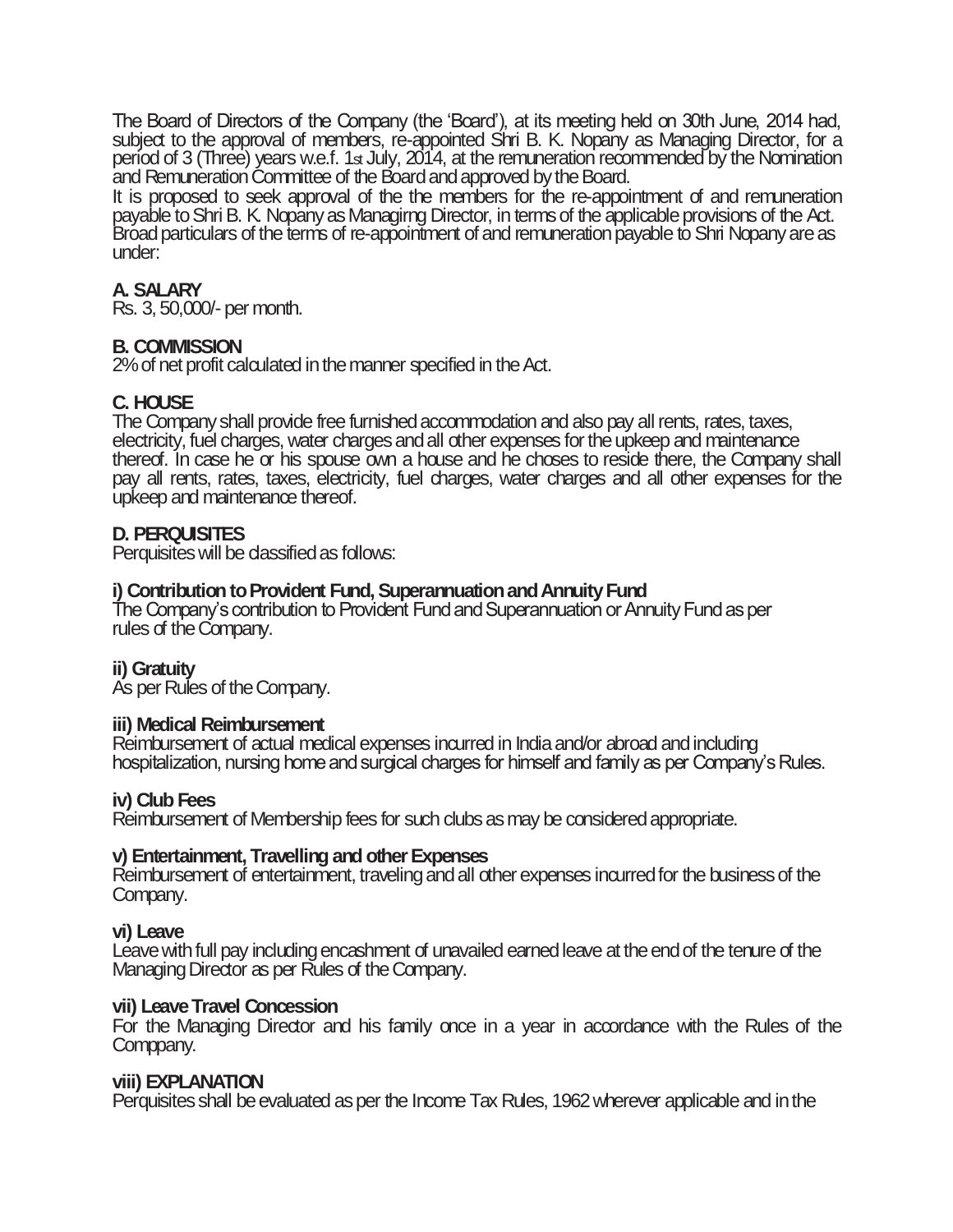The Board of Directors of the Company (the 'Board'), at its meeting held on 30th June, 2014 had, subject to the approval of members, re-appointed Shri B. K. Nopany as Managing Director, for a period of 3 (Three) years w.e.f. 1st July, 2014, at the remuneration recommended by the Nomination and Remuneration Committee of the Board and approved by the Board.

It is proposed to seek approval of the the members for the re-appointment of and remuneration payable to Shri B. K. Nopany as Managirng Director, in terms of the applicable provisions of the Act. Broad particulars of the terms of re-appointment of and remuneration payable to Shri Nopany are as under:

## **A. SALARY**

Rs. 3, 50,000/- per month.

## **B. COMMISSION**

2% of net profit calculated in the manner specified in the Act.

## **C. HOUSE**

The Company shall provide free furnished accommodation and also pay all rents, rates, taxes, electricity, fuel charges, water charges and all other expenses for the upkeep and maintenance thereof. In case he or his spouse own a house and he choses to reside there, the Company shall pay all rents, rates, taxes, electricity, fuel charges, water charges and all other expenses for the upkeep and maintenance thereof.

## **D. PERQUISITES**

Perquisites will be dassified as follows:

## **i) Contribution to Provident Fund, Superannuation and Annuity Fund**

The Company's contribution to Provident Fund and Superannuation or Annuity Fund as per rules of the Company.

## **ii) Gratuity**

As per Rules of the Company.

## **iii) Medical Reimbursement**

Reimbursement of actual medical expenses incurred in India and/or abroad and including hospitalization, nursing home and surgical charges for himself and family as per Company's Rules.

## **iv) Club Fees**

Reimbursement of Membership fees for such clubs as may be considered appropriate.

#### **v) Entertainment, Travelling and other Expenses**

Reimbursement of entertainment, traveling and all other expenses incurred for the business of the Company.

## **vi) Leave**

Leave with full pay including encashment of unavailed earned leave at the end of the tenure of the Managing Director as per Rules of the Company.

#### **vii) Leave Travel Concession**

For the Managing Director and his family once in a year in accordance with the Rules of the Comppany.

#### **viii) EXPLANATION**

Perquisites shall be evaluated as per the Income Tax Rules, 1962 wherever applicable and in the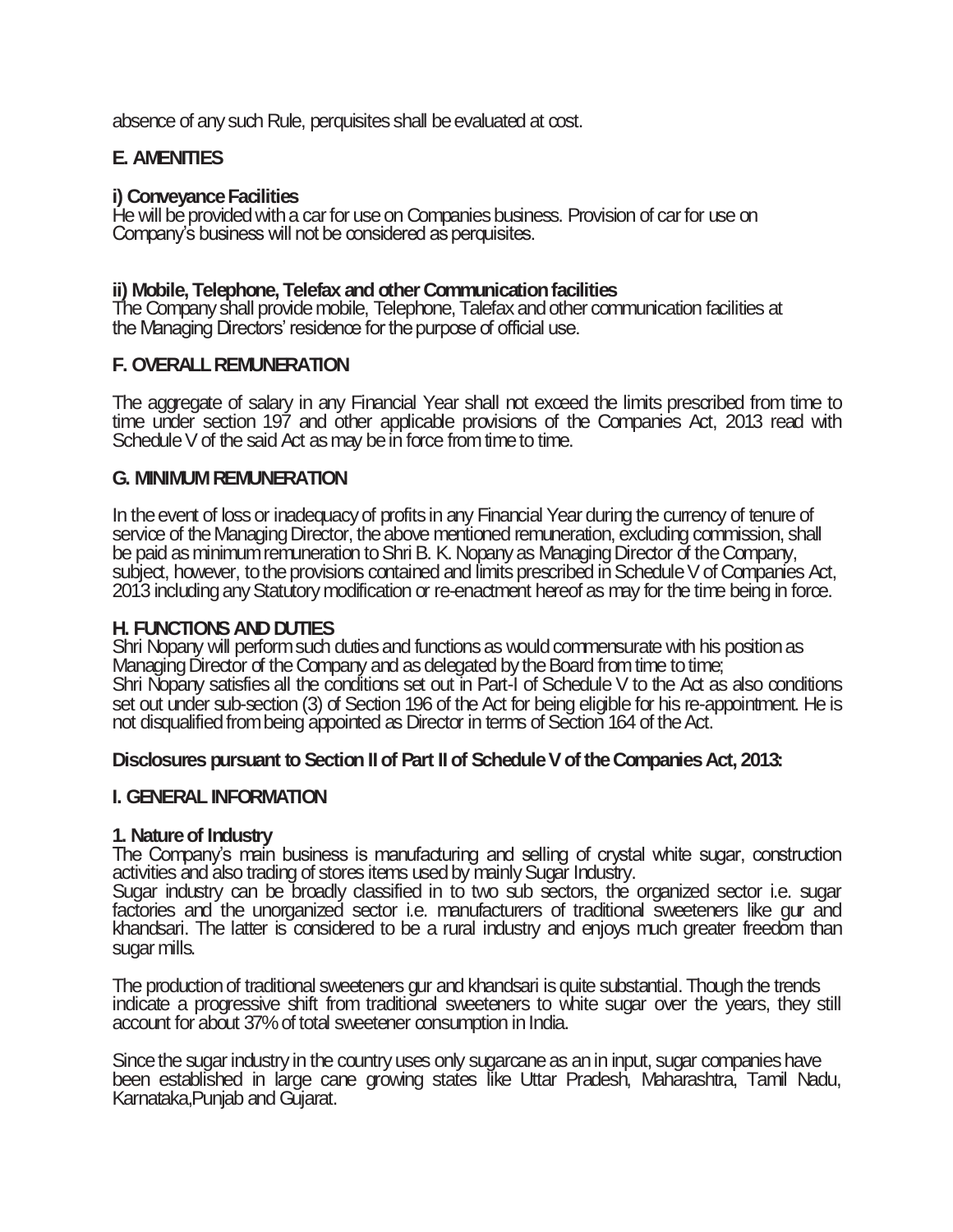absence of any such Rule, perquisites shall be evaluated at cost.

## **E. AMENITIES**

## **i) Conveyance Facilities**

He will be provided with a car for use on Companies business. Provision of car for use on Company's business will not be considered as perquisites.

## **ii) Mobile, Telephone, Telefax and other Communication facilities**

The Company shall provide mobile, Telephone, Talefax and other communication facilities at the Managing Directors' residence for the purpose of official use.

## **F. OVERALL REMUNERATION**

The aggregate of salary in any Financial Year shall not exceed the limits prescribed from time to time under section 197 and other applicable provisions of the Companies Act, 2013 read with Schedule  $V$  of the said Act as may be in force from time to time.

## **G. MINIMUM REMUNERATION**

In the event of lossor inadequacy of profits in any Financial Year during the currency of tenure of service of the Managing Director, the above mentioned remuneration, excluding commission, shall be paid as minimum remuneration to Shri B. K. Nopany as Managing Director of the Company, subject, however, to the provisions contained and limits prescribed in Schedule V of Companies Act, 2013 including any Statutory modification or re-enactment hereof as may for the time being in force.

## **H. FUNCTIONS AND DUTIES**

Shri Nopany will perform such duties and functions as would commensurate with his position as Managing Director of the Company and as delegated by the Board from time to time; Shri Nopany satisfies all the conditions set out in Part-I of Schedule V to the Act as also conditions set out under sub-section (3) of Section 196 of the Act for being eligible for his re-appointment. He is not disqualified from being appointed as Director in terms of Section 164 of the Act.

## **Disclosures pursuant to Section II of Part II of Schedule V of the Companies Act, 2013:**

## **I. GENERAL INFORMATION**

## **1. Nature of Industry**

The Company's main business is manufacturing and selling of crystal white sugar, construction activities and also trading of stores items used by mainly Sugar Industry.

Sugar industry can be broadly classified in to two sub sectors, the organized sector i.e. sugar factories and the unorganized sector i.e. manufacturers of traditional sweeteners like gur and khandsari. The latter is considered to be a rural industry and enjoys much greater freedom than sugar mills.

The production of traditional sweeteners gur and khandsari is quite substantial. Though the trends indicate a progressive shift from traditional sweeteners to white sugar over the years, they still account for about 37% of total sweetener consumption in India.

Since the sugar industry in the country uses only sugarcane as an in input, sugar companies have been established in large cane growing states like Uttar Pradesh, Maharashtra, Tamil Nadu, Karnataka,Punjab and Gujarat.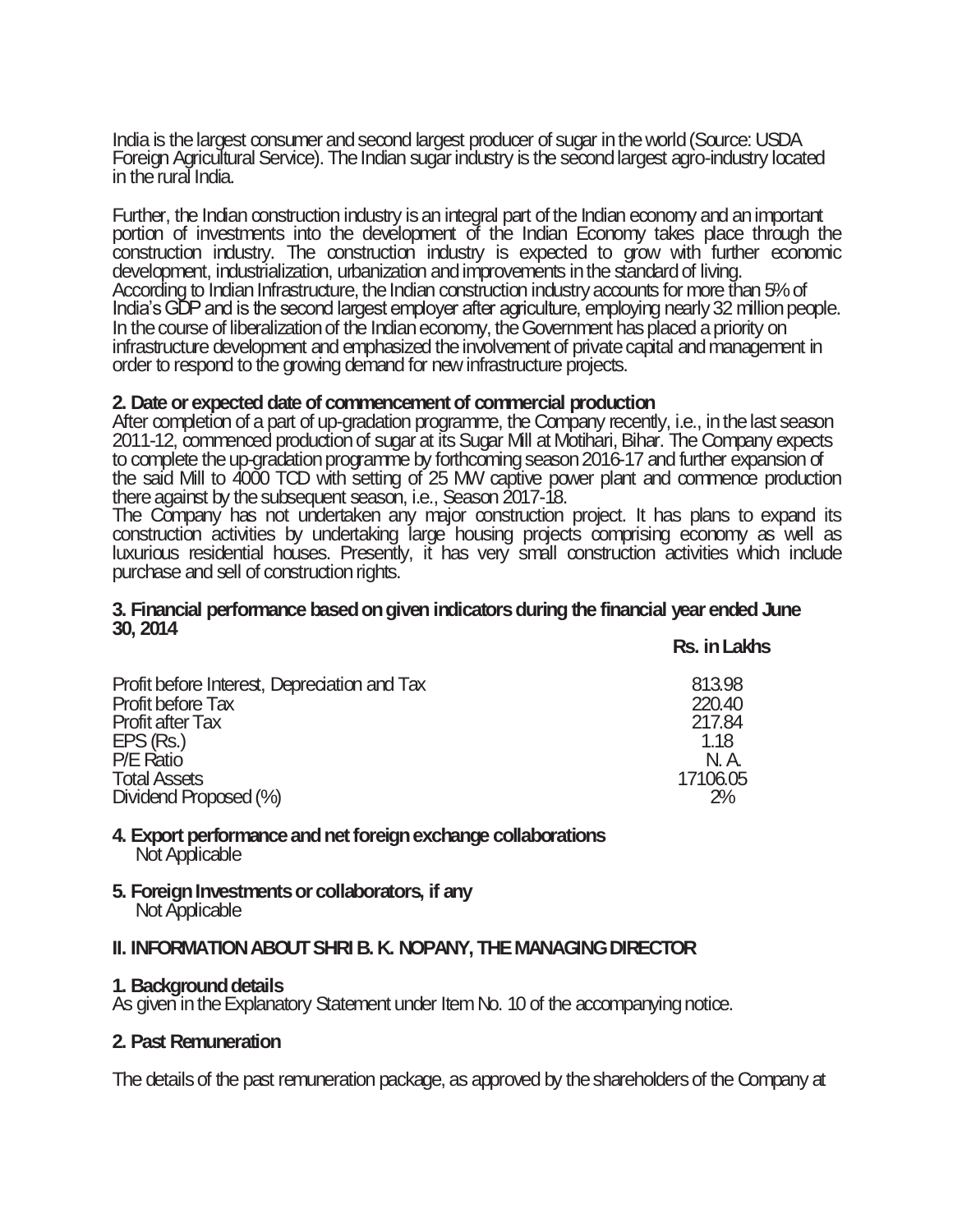India is the largest consumer and second largest producer of sugar in the world (Source: USDA Foreign Agricultural Service). The Indian sugar industry is the second largest agro-industry located in the rural India.

Further, the Indian construction industry is an integral part of the Indian economy and an important portion of investments into the development of the Indian Economy takes place through the construction industry. The construction industry is expected to grow with further economic development, industrialization, urbanization and improvements in the standard of living. According to Indian Infrastructure, the Indian construction industry accounts for more than 5% of India's GDP and is the second largest employer after agriculture, employing nearly 32 million people. In the course of liberalization of the Indian economy, the Government has placed a priority on infrastructure development and emphasized the involvement of private capital and management in order to respond to the growing demand for new infrastructure projects.

## **2. Date or expected date of commencement of commercial production**

After completion of a part of up-gradation programme, the Company recently, i.e., in the last season 2011-12, commenced production of sugar at its Sugar Mill at Motihari, Bihar. The Company expects to complete the up-gradation programme by forthcoming season 2016-17 and further expansion of the said Mill to 4000 TCD with setting of 25 MW captive power plant and commence production there against by the subsequent season, i.e., Season 2017-18.

The Company has not undertaken any major construction project. It has plans to expand its construction activities by undertaking large housing projects comprising economy as well as luxurious residential houses. Presently, it has very small construction activities which include purchase and sell of construction rights.

#### **3. Financial performance based on given indicators during the financial year ended June 30, 2014 Rs. in Lakhs**

| Profit before Interest, Depredation and Tax | 813.98   |
|---------------------------------------------|----------|
| <b>Profit before Tax</b>                    | 220.40   |
| <b>Profit after Tax</b>                     | 217.84   |
| EPS (Rs.)                                   | 1.18     |
| P/E Ratio                                   | N. A     |
| <b>Total Assets</b>                         | 17106.05 |
| Dividend Proposed (%)                       | 2%       |

#### **4. Export performance and net foreign exchange collaborations** Not Applicable

#### **5. Foreign Investments or collaborators, if any** Not Applicable

## **II. INFORMATION ABOUT SHRI B. K. NOPANY, THE MANAGING DIRECTOR**

## **1. Background details**

As given in the Explanatory Statement under Item No. 10 of the accompanying notice.

## **2. Past Remuneration**

The details of the past remuneration package, as approved by the shareholders of the Company at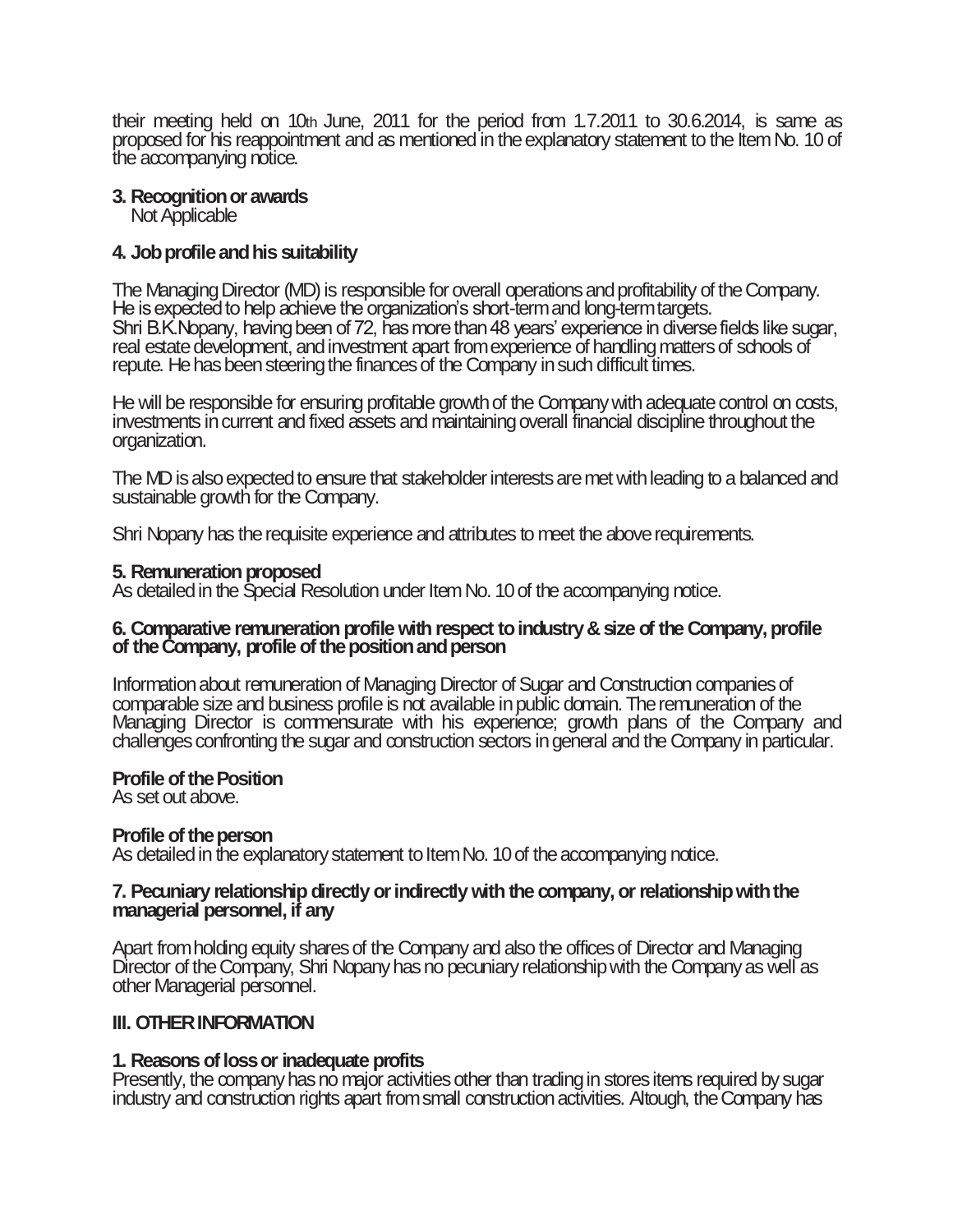their meeting held on 10th June, 2011 for the period from 1.7.2011 to 30.6.2014, is same as proposed for his reappointment and as mentioned in the explanatory statement to the Item No. 10 of the accompanying notice.

**3. Recognition or awards**

Not Applicable

## **4. Job profile and his suitability**

The Managing Director (MD) is responsible for overall operations and profitability of the Company. He is expected to help achieve the organization's short-term and long-term targets. Shri B.K.Nopany, having been of 72, has more than 48 years' experience in diverse fields like sugar, real estate development, and investment apart from experience of handling matters of schools of repute. He has been steering the finances of the Company in such difficult times.

He will be responsible for ensuring profitable growth of the Company with adequate control on costs, investments in current and fixed assets and maintaining overall financial discipline throughout the organization.

The MD is also expected to ensure that stakeholder interests are met with leading to a balanced and sustainable growth for the Company.

Shri Nopany has the requisite experience and attributes to meet the above requirements.

## **5. Remuneration proposed**

As detailed in the Special Resolution under Item No. 10 of the accompanying notice.

## **6. Comparative remuneration profile with respect to industry & size of the Company, profile of the Company, profile of the position and person**

Information about remuneration of Managing Director of Sugar and Construction companies of comparable size and business profile is not available in public domain. The remuneration of the Managing Director is commensurate with his experience; growth plans of the Company and challenges confronting the sugar and construction sectors in general and the Company in particular.

## **Profile of the Position**

As set out above.

## **Profile of the person**

As detailed in the explanatory statement to Item No. 10 of the accompanying notice.

## **7. Pecuniary relationship directly or indirectly with the company, or relationship with the managerial personnel, if any**

Apart from holding equity shares of the Company and also the offices of Director and Managing Director of the Company, Shri Nopany has no pecuniary relationship with the Company as well as other Managerial personnel.

## **III. OTHER INFORMATION**

## **1. Reasons of loss or inadequate profits**

Presently, the company has no major activities other than trading in stores items required by sugar industry and construction rights apart from small construction activities. Altough, the Company has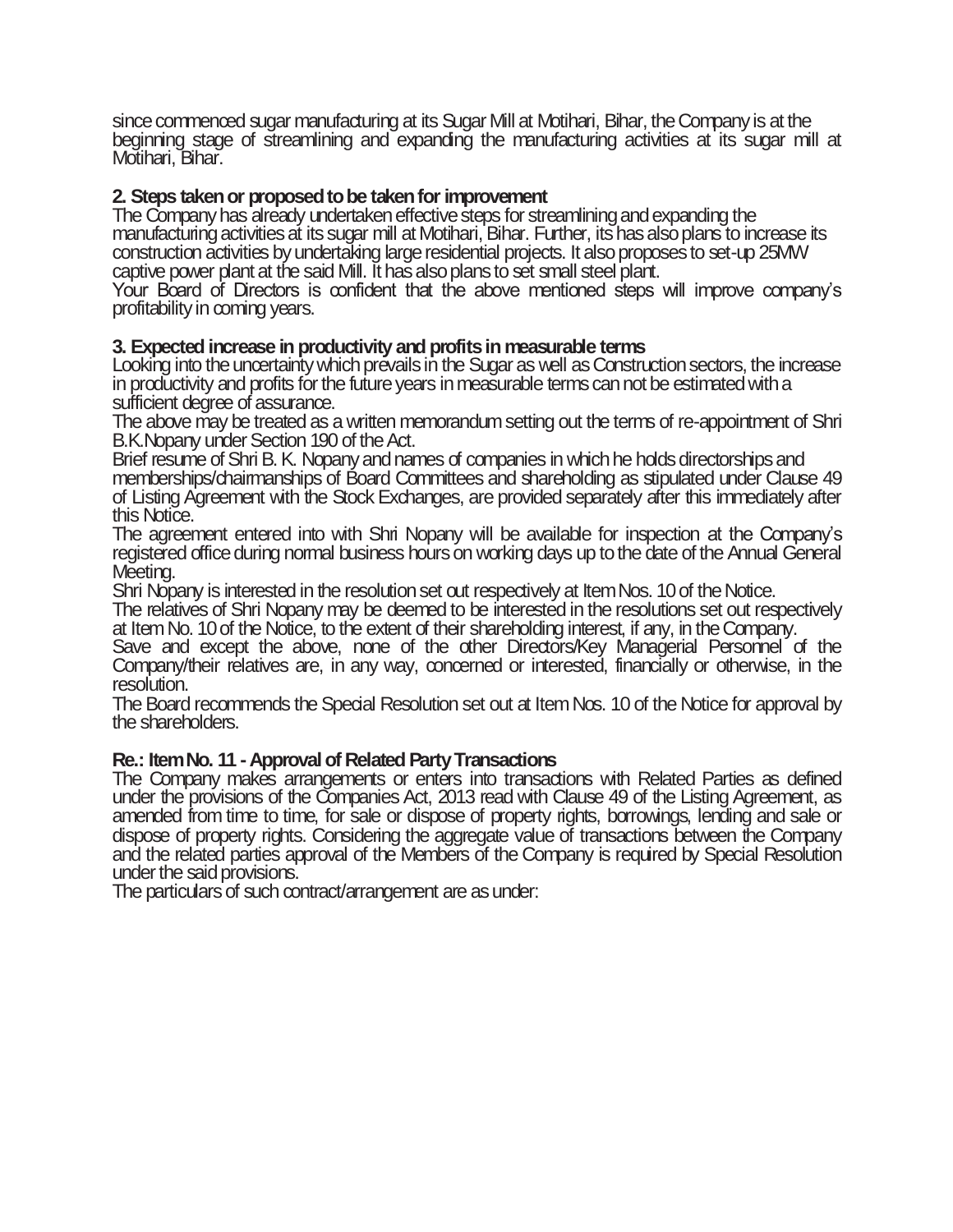since commenced sugar manufacturing at its Sugar Mill at Motihari, Bihar, the Company is at the beginning stage of streamlining and expanding the manufacturing activities at its sugar mill at Motihari, Bihar.

## **2. Steps taken or proposed to be taken for improvement**

The Company has already undertaken effective steps for streamlining and expanding the manufacturing activities at its sugar mill at Motihari, Bihar. Further, its has also plans to increase its construction activities by undertaking large residential projects. It also proposes to set-up 25MW captive power plant at the said Mill. It has also plans to set small steel plant.

Your Board of Directors is confident that the above mentioned steps will improve company's profitability in coming years.

## **3. Expected increase in productivity and profits in measurable terms**

Looking into the uncertainty which prevails in the Sugar as well as Construction sectors, the increase in productivity and profits for the future years in measurable terms can not be estimated with a sufficient degree of assurance.

The above may be treated as a written memorandum setting out the terms of re-appointment of Shri B.K.Nopany under Section 190 of the Act.

Brief resume of Shri B. K. Nopany and names of companies in which he holds directorships and memberships/chairmanships of Board Committees and shareholding as stipulated under Clause 49 of Listing Agreement with the Stock Exchanges, are provided separately after this immediately after this Notice.

The agreement entered into with Shri Nopany will be available for inspection at the Company's registered office during normal business hours on working days up to the date of the Annual General Meeting.

Shri Nopany is interested in the resolution set out respectively at Item Nos. 10 of the Notice.

The relatives of Shri Nopany may be deemed to be interested in the resolutions set out respectively at Item No. 10 of the Notice, to the extent of their shareholding interest, if any, in the Company.

Save and except the above, none of the other Directors/Key Managerial Personnel of the Company/their relatives are, in any way, concerned or interested, financially or otherwise, in the resolution.

The Board recommends the Special Resolution set out at Item Nos. 10 of the Notice for approval by the shareholders.

## **Re.: Item No. 11 -Approval of Related Party Transactions**

The Company makes arrangements or enters into transactions with Related Parties as defined under the provisions of the Companies Act, 2013 read with Clause 49 of the Listing Agreement, as amended from time to time, for sale or dispose of property rights, borrowings, lending and sale or dispose of property rights. Considering the aggregate value of transactions between the Company and the related parties approval of the Members of the Company is required by Special Resolution under the said provisions.

The particulars of such contract/arrangement are as under: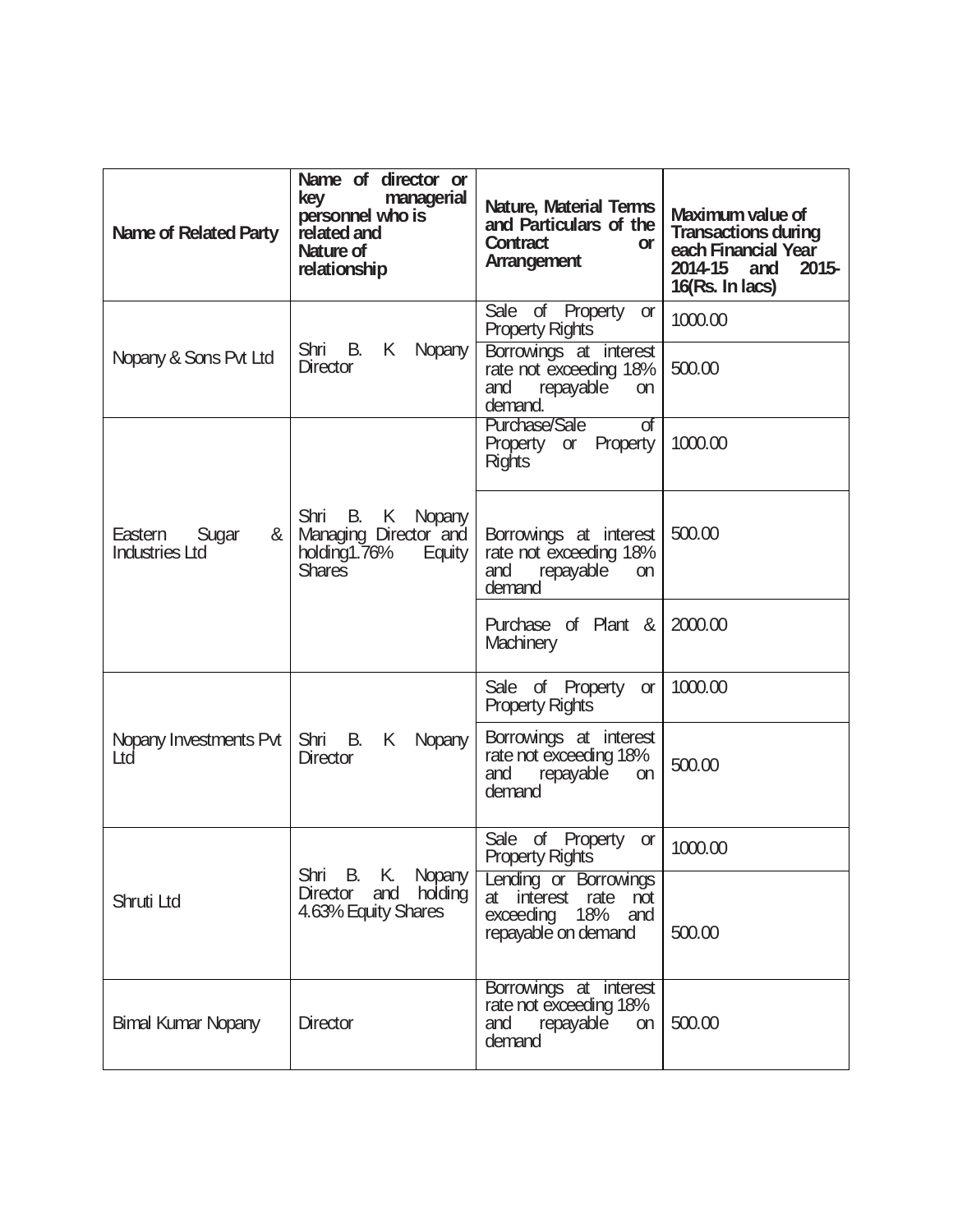| Name of Related Party                          | Name of director or<br>key<br>managerial<br>personnel who is<br>related and<br>Nature of<br>relationship | Nature, Material Terms<br>and Particulars of the<br>Contract<br><b>or</b><br>Arrangement     | Maximum value of<br><b>Transactions during</b><br>each Financial Year<br>2014-15<br>$2015 -$<br>and<br>16(Rs. In lacs) |
|------------------------------------------------|----------------------------------------------------------------------------------------------------------|----------------------------------------------------------------------------------------------|------------------------------------------------------------------------------------------------------------------------|
| Nopany & Sons Pvt Ltd                          | Shri B.<br>K<br>Nopany                                                                                   | Sale of Property or<br><b>Property Rights</b><br>Borrowings at interest                      | 1000.00                                                                                                                |
|                                                | <b>Director</b>                                                                                          | rate not exceeding 18%<br>and<br>repayable<br>on<br>demand.                                  | 500.00                                                                                                                 |
|                                                |                                                                                                          | Purchase/Sale<br>of<br>Property or Property<br><b>Rights</b>                                 | 1000.00                                                                                                                |
| &<br>Eastern<br>Sugar<br><b>Industries Ltd</b> | Shri B. K Nopany<br>Managing Director and<br>holding1.76%<br>Equity<br><b>Shares</b>                     | Borrowings at interest<br>rate not exceeding 18%<br>and<br>repayable<br>on<br>demand         | 500.00                                                                                                                 |
|                                                |                                                                                                          | Purchase of Plant &<br><b>Machinery</b>                                                      | 2000.00                                                                                                                |
|                                                |                                                                                                          | Sale of Property or<br><b>Property Rights</b>                                                | 1000.00                                                                                                                |
| Nopany Investments Pvt<br>Ltd                  | Shri B.<br>K<br>Nopany<br>Director                                                                       | Borrowings at interest<br>rate not exceeding 18%<br>repayable<br>and<br>on<br>demand         | 500.00                                                                                                                 |
|                                                | Shri B. K. Nopany                                                                                        | Sale of Property<br><b>or</b><br><b>Property Rights</b>                                      | 1000.00                                                                                                                |
| Shruti Ltd                                     | holding<br>Director<br>and<br>4.63% Equity Shares                                                        | Lending or Borrowings<br>interest rate not<br>at<br>exceeding 18% and<br>repayable on demand | 500.00                                                                                                                 |
| <b>Bimal Kumar Nopany</b>                      | Director                                                                                                 | Borrowings at interest<br>rate not exceeding 18%<br>repayable<br>and<br>on<br>demand         | 500.00                                                                                                                 |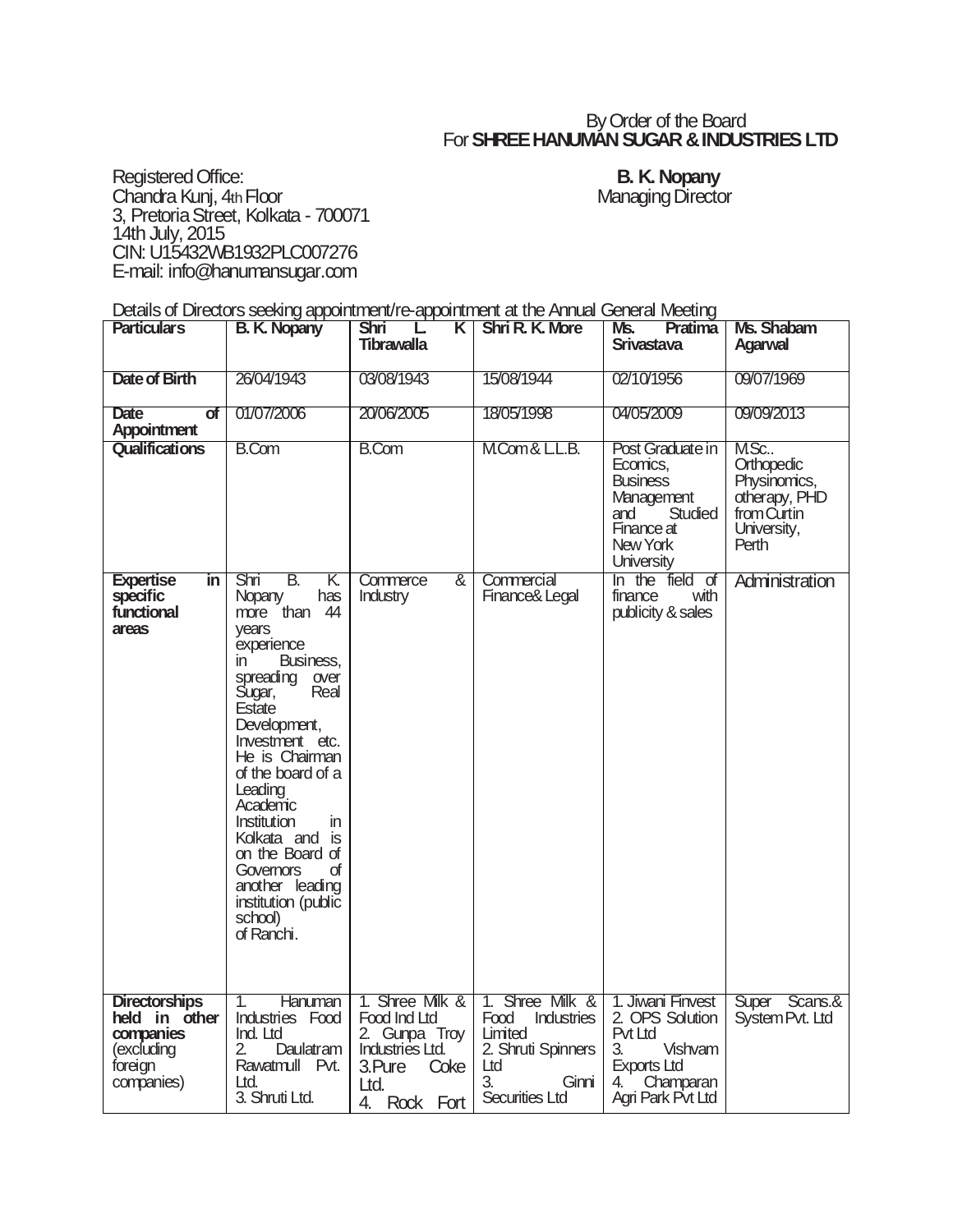## By Order of the Board For **SHREE HANUMAN SUGAR & INDUSTRIES LTD**

Registered Office: **B. K. Nopany** Chandra Kunj, 4th Floor **Managing Director** Managing Director 3, Pretoria Street, Kolkata - 700071 14th July, 2015 CIN: U15432WB1932PLC007276 E-mail: info@hanumansugar.com

Details of Directors seeking appointment/re-appointment at the Annual General Meeting

| <b>Particulars</b>                                                                        | <b>B. K. Nopany</b>                                                                                                                                                                                                                                                                                                                                                                          | <b>Shri</b><br>K.<br><b>Tibrawalla</b>                                                                                  | <b>Shri R. K. More</b>                                                                                         | Ms.<br>Pratima<br>Srivastava                                                                                                   | Ms. Shabam<br><b>Agarwal</b>                                                               |
|-------------------------------------------------------------------------------------------|----------------------------------------------------------------------------------------------------------------------------------------------------------------------------------------------------------------------------------------------------------------------------------------------------------------------------------------------------------------------------------------------|-------------------------------------------------------------------------------------------------------------------------|----------------------------------------------------------------------------------------------------------------|--------------------------------------------------------------------------------------------------------------------------------|--------------------------------------------------------------------------------------------|
| Date of Birth                                                                             | 26/04/1943                                                                                                                                                                                                                                                                                                                                                                                   | 03/08/1943                                                                                                              | 15/08/1944                                                                                                     | 02/10/1956                                                                                                                     | 09/07/1969                                                                                 |
| Date<br>of<br>Appointment                                                                 | 01/07/2006                                                                                                                                                                                                                                                                                                                                                                                   | 20/06/2005                                                                                                              | 18/05/1998                                                                                                     | 04/05/2009                                                                                                                     | 09/09/2013                                                                                 |
| Qualifications                                                                            | <b>B.Com</b>                                                                                                                                                                                                                                                                                                                                                                                 | <b>B.Com</b>                                                                                                            | MCom& LL.B.                                                                                                    | Post Graduate in<br>Ecomics,<br><b>Business</b><br>Management<br>Studied<br>and<br>Finance at<br>New York<br><b>University</b> | M.Sc<br>Orthopedic<br>Physinomics,<br>otherapy, PHD<br>from Curtin<br>University,<br>Perth |
| <b>Expertise</b><br>in.<br>specific<br>functional<br>areas                                | Shri<br>В.<br>K.<br>Nopany<br>has<br>more than 44<br>vears<br>experience<br>Business,<br>in.<br>spreading over<br>Sugar,<br>Real<br>Estate<br>Development,<br>Investment etc.<br>He is Chairman<br>of the board of a<br>Leading<br>Academic<br>Institution<br>in.<br>Kolkata and is<br>on the Board of<br>of<br>Governors<br>another leading<br>institution (public<br>school)<br>of Ranchi. | Commerce<br>&<br>Industry                                                                                               | Commercial<br>Finance& Legal                                                                                   | In the field of<br>finance<br>with<br>publicity & sales                                                                        | Administration                                                                             |
| <b>Directorships</b><br>held in other<br>companies<br>(excluding<br>foreign<br>companies) | Hanuman<br>1.<br>Industries Food<br>Ind. Ltd<br>2.<br>Daulatram<br>Rawatmull Pvt.<br>Ltd.<br>3. Shruti Ltd.                                                                                                                                                                                                                                                                                  | 1. Shree Milk &<br>Food Ind Ltd<br>2. Gunpa Troy<br><b>Industries Ltd.</b><br>3.Pure<br>Coke<br>Ltd.<br>4.<br>Rock Fort | 1. Shree Milk &<br>Food<br>Industries<br>Limited<br>2. Shruti Spinners<br>Ltd<br>3.<br>Ginni<br>Securities Ltd | 1. Jiwani Finvest<br>2. OPS Solution<br>Pvt Ltd<br>3.<br>Vishvam<br><b>Exports Ltd</b><br>4.<br>Champaran<br>Agri Park Pvt Ltd | Super Scans.&<br>System Pvt. Ltd                                                           |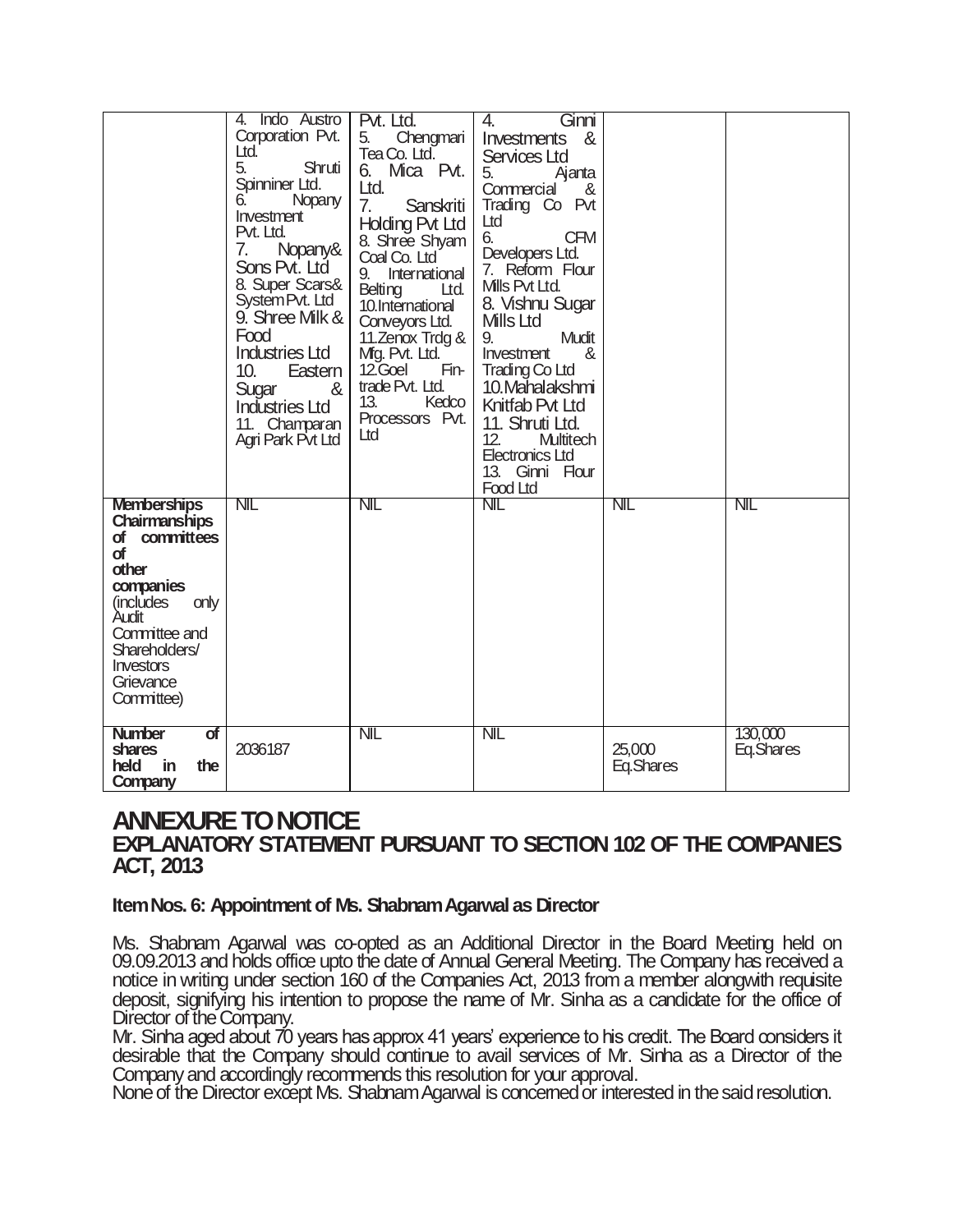|                                                                                                                                                                                                                             | 4. Indo Austro<br>Corporation Pvt.<br>Ltd.<br>5.<br>Shruti<br>Spinniner Ltd.<br>Nopany<br>6.<br>Investment<br>Pvt. Ltd.<br>Nopany&<br>7.<br>Sons Pvt. Ltd<br>8. Super Scars&<br>System Pvt. Ltd<br>9. Shree Milk &<br>Food<br><b>Industries Ltd</b><br>10.<br>Eastern  <br>Sugar<br>&<br><b>Industries Ltd</b><br>11. Champaran<br>Agri Park Pvt Ltd | Pvt. Ltd.<br>Chengmari<br>5.<br>Tea Co. Ltd.<br>6. Mica Pvt.<br>Ltd.<br>7.<br>Sanskriti<br><b>Holding Pvt Ltd</b><br>8. Shree Shyam<br>Coal Co. Ltd<br>International<br>9.<br><b>Belting</b><br>Ltd.<br>10.International<br>Conveyors Ltd.<br>11. Zenox Trdg &<br>Mg. Pvt. Ltd.<br>12.Goel<br>Fin-<br>trade Pvt. Ltd.<br>13.<br>Kedco<br>Processors Pvt.<br>Ltd | Ginni<br>4.<br>&<br><i><u><b>Investments</b></u></i><br>Services Ltd<br>5.<br>Ajanta<br>Commercial<br><u>&amp;</u><br>Trading Co Pvt<br>Ltd<br>6.<br><b>CFM</b><br>Developers Ltd.<br>7. Reform Flour<br>Mills Pvt Ltd.<br>8. Vishnu Sugar<br>Mills Ltd<br>9.<br>Mudit<br>Investment<br>&<br>Trading Co Ltd<br>10. Mahalakshmi<br>Knitfab Pvt Ltd<br>11. Shruti Ltd.<br>12.<br>Multitech<br><b>Electronics Ltd</b><br>13. Ginni Flour<br>Food Ltd |                     |                      |
|-----------------------------------------------------------------------------------------------------------------------------------------------------------------------------------------------------------------------------|------------------------------------------------------------------------------------------------------------------------------------------------------------------------------------------------------------------------------------------------------------------------------------------------------------------------------------------------------|-----------------------------------------------------------------------------------------------------------------------------------------------------------------------------------------------------------------------------------------------------------------------------------------------------------------------------------------------------------------|---------------------------------------------------------------------------------------------------------------------------------------------------------------------------------------------------------------------------------------------------------------------------------------------------------------------------------------------------------------------------------------------------------------------------------------------------|---------------------|----------------------|
| <b>Memberships</b><br><b>Chairmanships</b><br>of committees<br><b>of</b><br>other<br>companies<br>(includes<br>only<br>Audit<br>Committee and<br>Shareholders/<br><i><u><b>Investors</b></u></i><br>Grievance<br>Committee) | NIL                                                                                                                                                                                                                                                                                                                                                  | NIL                                                                                                                                                                                                                                                                                                                                                             | <b>NIL</b>                                                                                                                                                                                                                                                                                                                                                                                                                                        | <b>NIL</b>          | NIL                  |
| <b>Number</b><br>σf<br>shares<br>held<br>in<br>the<br>Company                                                                                                                                                               | 2036187                                                                                                                                                                                                                                                                                                                                              | NIL                                                                                                                                                                                                                                                                                                                                                             | <b>NIL</b>                                                                                                                                                                                                                                                                                                                                                                                                                                        | 25,000<br>Eq.Shares | 130,000<br>Eq.Shares |

## **ANNEXURE TO NOTICE**

## **EXPLANATORY STATEMENT PURSUANT TO SECTION 102 OF THE COMPANIES ACT, 2013**

## **Item Nos. 6: Appointment of Ms. Shabnam Agarwal as Director**

Ms. Shabnam Agarwal was co-opted as an Additional Director in the Board Meeting held on 09.09.2013 and holds office upto the date of Annual General Meeting. The Company has received a notice in writing under section 160 of the Companies Act, 2013 from a member alongwith requisite deposit, signifying his intention to propose the name of Mr. Sinha as a candidate for the office of Director of the Company.

Mr. Sinha aged about 70 years has approx 41 years' experience to his credit. The Board considers it desirable that the Company should continue to avail services of Mr. Sinha as a Director of the Companyand accordingly recommends this resolution for your approval.

None of the Director except Ms. Shabnam Agarwal is concerned or interested in the said resolution.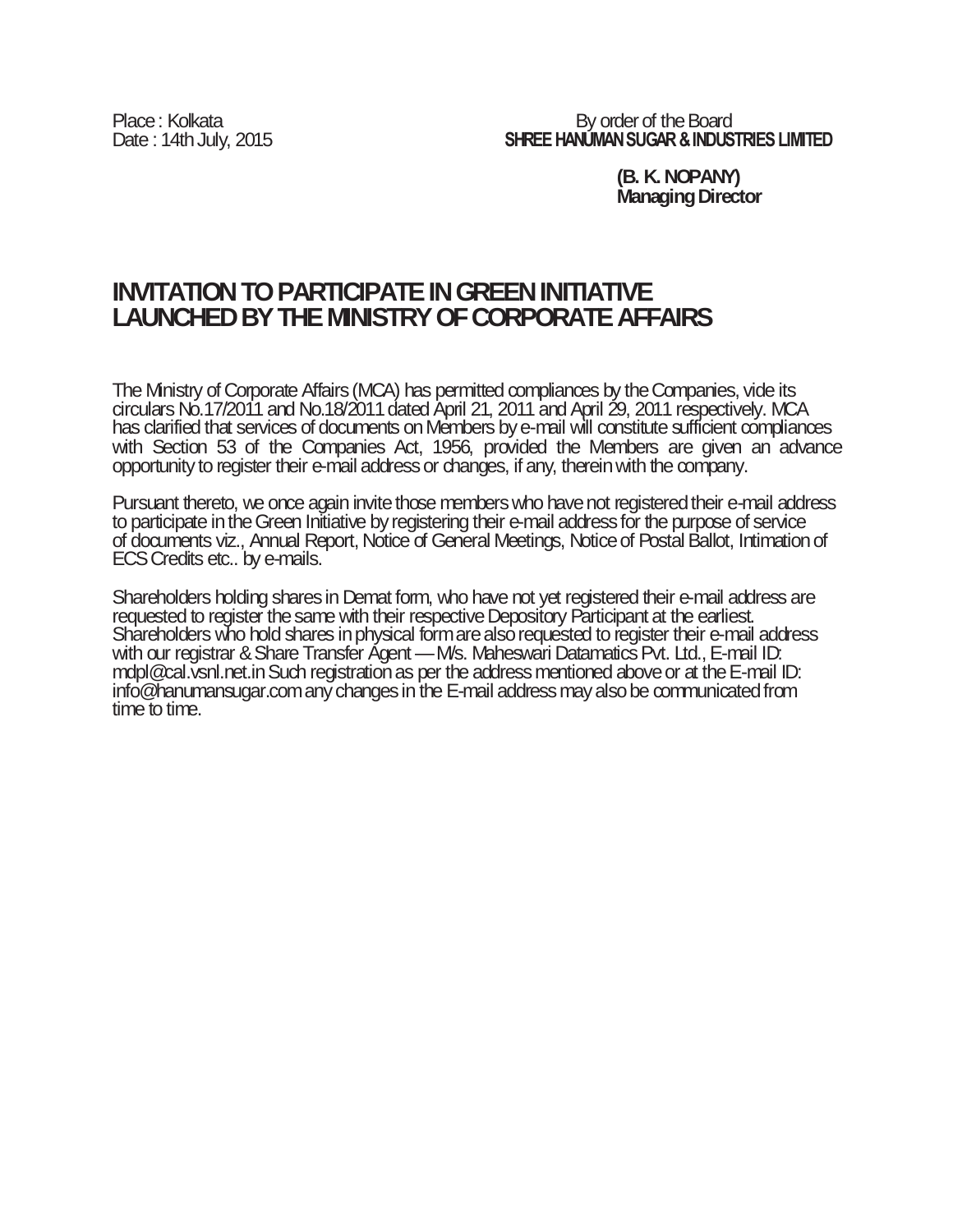Place : Kolkata Board<br>Date : 14th July, 2015 **Exercise SHREE HANUMAN SUGAR & INDUS SHREE HANUMAN SUGAR & INDUSTRIES LIMITED** 

> **(B. K. NOPANY) Managing Director**

# **INVITATION TO PARTICIPATE IN GREEN INITIATIVE LAUNCHED BY THE MINISTRY OF CORPORATE AFFAIRS**

The Ministry of Corporate Affairs (MCA) has permitted compliances by the Companies, vide its circulars No.17/2011 and No.18/2011 dated April 21, 2011 and April 29, 2011 respectively. MCA has clarified that services of documents on Members by e-mail will constitute sufficient compliances with Section 53 of the Companies Act, 1956, provided the Members are given an advance opportunity to register their e-mail address or changes, if any, therein with the company.

Pursuant thereto, we once again invite those members who have not registered their e-mail address to participate in the Green Initiative by registering their e-mail address for the purpose of service of documents viz., Annual Report, Notice of General Meetings, Notice of Postal Ballot, Intimation of ECS Credits etc.. by e-mails.

Shareholders holding shares in Demat form, who have not yet registered their e-mail address are requested to register the same with their respective Depository Participant at the earliest. Shareholders who hold shares in physical form are also requested to register their e-mail address with our registrar & Share Transfer Agent — M/s. Maheswari Datamatics Pvt. Ltd., E-mail ID: mdpl@cal.vsnl.net.in Such registration as per the address mentioned above or at the E-mail ID: info@hanumansugar.com any changes in the E-mail address may also be communicated from time to time.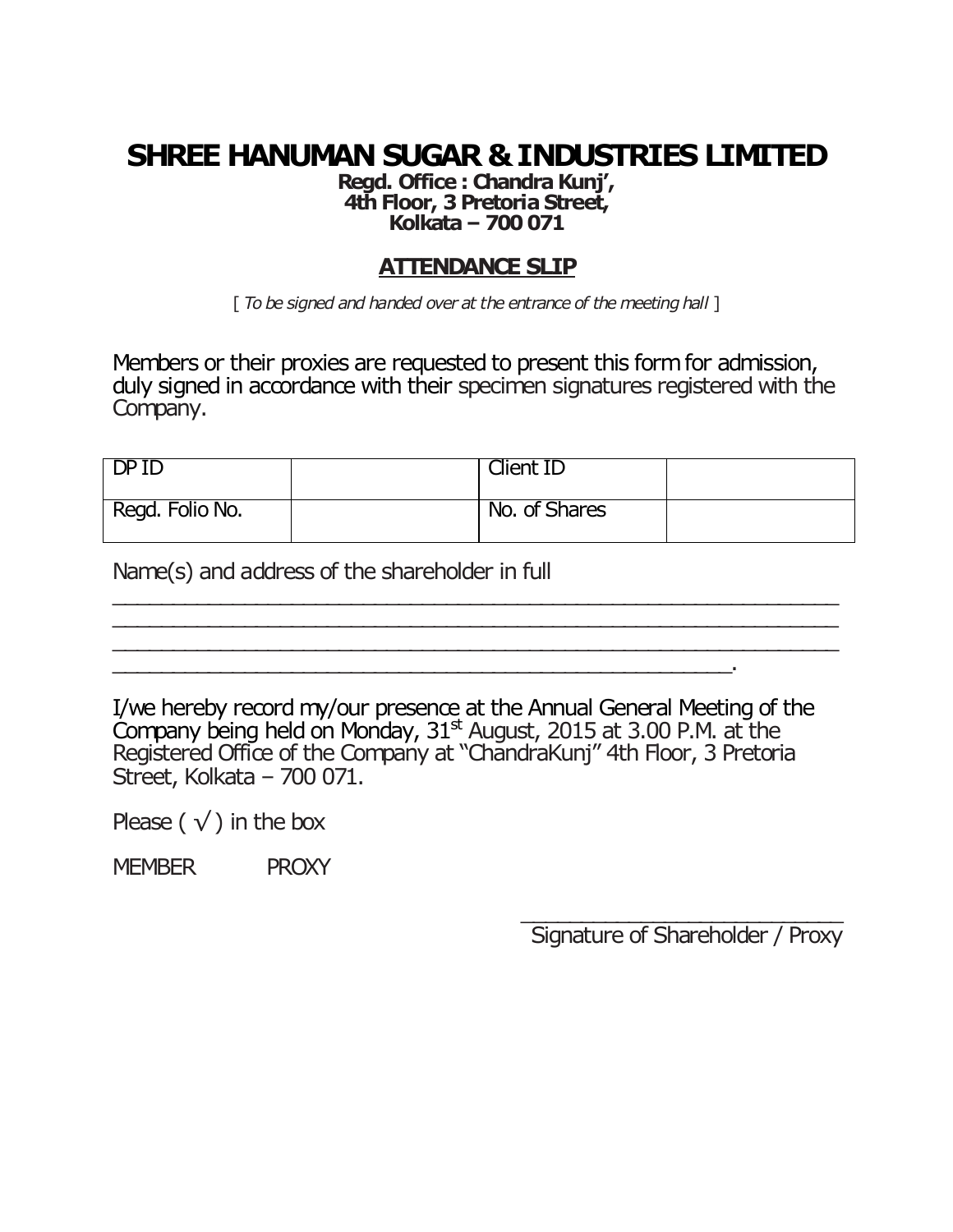# **SHREE HANUMAN SUGAR & INDUSTRIES LIMITED**

**Regd. Office : Chandra Kunj', 4th Floor, 3 Pretoria Street, Kolkata – 700 071**

## **ATTENDANCE SLIP**

[ *To be signed and handed over at the entrance of the meeting hall* ]

Members or their proxies are requested to present this form for admission, duly signed in accordance with their specimen signatures registered with the Company.

| DPID            | <b>Client ID</b> |  |
|-----------------|------------------|--|
| Regd. Folio No. | No. of Shares    |  |

\_\_\_\_\_\_\_\_\_\_\_\_\_\_\_\_\_\_\_\_\_\_\_\_\_\_\_\_\_\_\_\_\_\_\_\_\_\_\_\_\_\_\_\_\_\_\_\_\_\_\_\_\_\_\_\_\_\_\_\_\_ \_\_\_\_\_\_\_\_\_\_\_\_\_\_\_\_\_\_\_\_\_\_\_\_\_\_\_\_\_\_\_\_\_\_\_\_\_\_\_\_\_\_\_\_\_\_\_\_\_\_\_\_\_\_\_\_\_\_\_\_\_ \_\_\_\_\_\_\_\_\_\_\_\_\_\_\_\_\_\_\_\_\_\_\_\_\_\_\_\_\_\_\_\_\_\_\_\_\_\_\_\_\_\_\_\_\_\_\_\_\_\_\_\_\_\_\_\_\_\_\_\_\_

Name(s) and address of the shareholder in full

I/we hereby record my/our presence at the Annual General Meeting of the Company being held on Monday,  $31<sup>st</sup>$  August, 2015 at 3.00 P.M. at the Registered Office of the Company at "ChandraKunj" 4th Floor, 3 Pretoria Street, Kolkata – 700 071.

Please ( $\sqrt{}$ ) in the box

MEMBER PROXY

\_\_\_\_\_\_\_\_\_\_\_\_\_\_\_\_\_\_\_\_\_\_\_\_\_\_\_ Signature of Shareholder / Proxy

 $\mathcal{L}_\mathrm{max}$  and the set of the set of the set of the set of the set of the set of the set of the set of the set of the set of the set of the set of the set of the set of the set of the set of the set of the set of the s